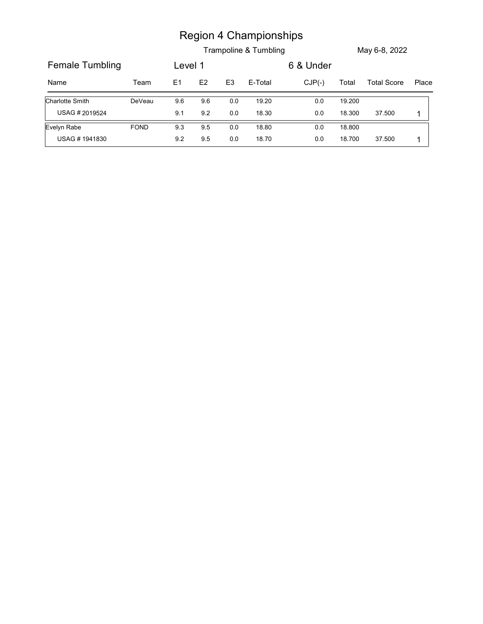|                        |             |         |     |                | <b>Region 4 Championships</b> |           |        |                    |                |
|------------------------|-------------|---------|-----|----------------|-------------------------------|-----------|--------|--------------------|----------------|
|                        |             |         |     |                | Trampoline & Tumbling         |           |        | May 6-8, 2022      |                |
| <b>Female Tumbling</b> |             | Level 1 |     |                |                               | 6 & Under |        |                    |                |
| Name                   | Team        | E1      | E2  | E <sub>3</sub> | E-Total                       | $CJP(-)$  | Total  | <b>Total Score</b> | Place          |
| <b>Charlotte Smith</b> | DeVeau      | 9.6     | 9.6 | 0.0            | 19.20                         | $0.0\,$   | 19.200 |                    |                |
| USAG #2019524          |             | 9.1     | 9.2 | $0.0\,$        | 18.30                         | $0.0\,$   | 18.300 | 37.500             | $\overline{1}$ |
| Evelyn Rabe            | <b>FOND</b> | 9.3     | 9.5 | 0.0            | 18.80                         | $0.0\,$   | 18.800 |                    |                |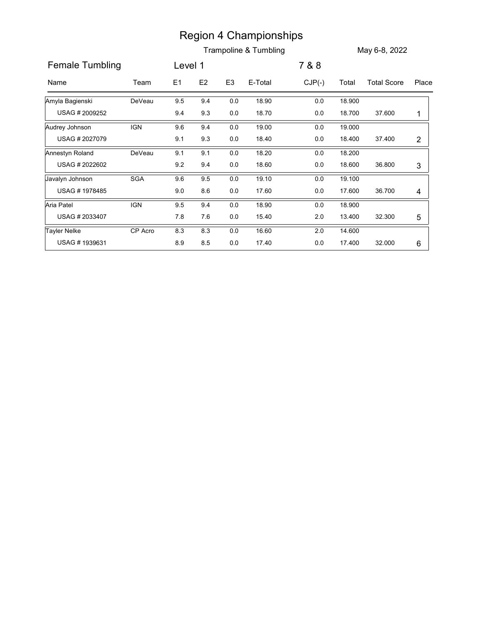|                        |            |                |           |                | <b>Region 4 Championships</b> |          |        |                    |                 |
|------------------------|------------|----------------|-----------|----------------|-------------------------------|----------|--------|--------------------|-----------------|
|                        |            |                |           |                | Trampoline & Tumbling         |          |        | May 6-8, 2022      |                 |
| <b>Female Tumbling</b> |            | Level 1        |           |                |                               | 7 & 8    |        |                    |                 |
| Name                   | Team       | E <sub>1</sub> | E2        | E <sub>3</sub> | E-Total                       | $CJP(-)$ | Total  | <b>Total Score</b> | Place           |
| Amyla Bagienski        | DeVeau     | 9.5            | 9.4       | $0.0\,$        | 18.90                         | $0.0\,$  | 18.900 |                    |                 |
| USAG # 2009252         |            | 9.4            | 9.3       | 0.0            | 18.70                         | $0.0\,$  | 18.700 | 37.600             | $\mathbf{1}$    |
| Audrey Johnson         | <b>IGN</b> | 9.6            | 9.4       | $0.0\,$        | 19.00                         | $0.0\,$  | 19.000 |                    |                 |
| USAG #2027079          |            | 9.1            | 9.3       | 0.0            | 18.40                         | $0.0\,$  | 18.400 | 37.400             | $\overline{c}$  |
| Annestyn Roland        | DeVeau     | 9.1            | 9.1       | $0.0\,$        | 18.20                         | $0.0\,$  | 18.200 |                    |                 |
| USAG # 2022602         |            | 9.2            | 9.4       | 0.0            | 18.60                         | $0.0\,$  | 18.600 | 36.800             | 3               |
| Javalyn Johnson        | SGA        | 9.6            | 9.5       | $0.0\,$        | 19.10                         | $0.0\,$  | 19.100 |                    |                 |
| USAG #1978485          |            | 9.0            | 8.6       | 0.0            | 17.60                         | 0.0      | 17.600 | 36.700             | 4               |
| Aria Patel             | IGN        | 9.5            | 9.4       | $0.0\,$        | 18.90                         | $0.0\,$  | 18.900 |                    |                 |
| USAG #2033407          |            | 7.8            | $7.6\,$   | $0.0\,$        | 15.40                         | $2.0\,$  | 13.400 | 32.300             | $\sqrt{5}$      |
| Tayler Nelke           | CP Acro    | 8.3            | $8.3\,$   | $0.0\,$        | 16.60                         | $2.0\,$  | 14.600 |                    |                 |
| USAG #1939631          |            | 8.9            | $\bf 8.5$ | $0.0\,$        | 17.40                         | $0.0\,$  | 17.400 | 32.000             | $6\phantom{.0}$ |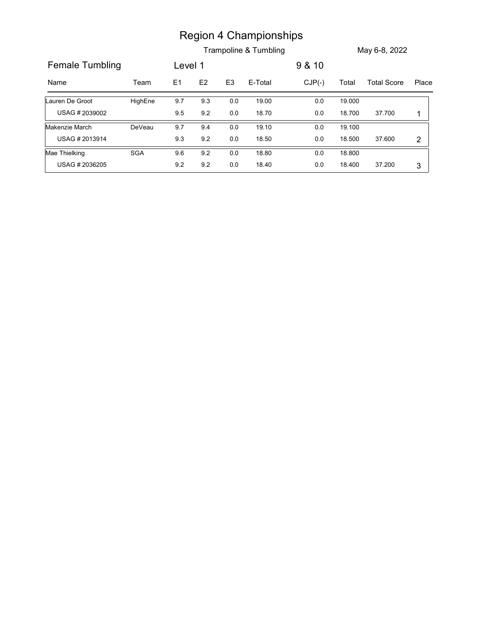|                        |            |         |     |                | <b>Region 4 Championships</b> |          |        |                    |                |
|------------------------|------------|---------|-----|----------------|-------------------------------|----------|--------|--------------------|----------------|
|                        |            |         |     |                | Trampoline & Tumbling         |          |        | May 6-8, 2022      |                |
| <b>Female Tumbling</b> |            | Level 1 |     |                |                               | 9 & 10   |        |                    |                |
|                        |            |         | E2  | E <sub>3</sub> | E-Total                       | $CJP(-)$ | Total  | <b>Total Score</b> | Place          |
| Name                   | Team       | E1      |     |                |                               |          |        |                    |                |
| Lauren De Groot        | HighEne    | 9.7     | 9.3 | 0.0            | 19.00                         | $0.0\,$  | 19.000 |                    |                |
| USAG # 2039002         |            | 9.5     | 9.2 | $0.0\,$        | 18.70                         | $0.0\,$  | 18.700 | 37.700             | 1              |
| Makenzie March         | DeVeau     | 9.7     | 9.4 | 0.0            | 19.10                         | 0.0      | 19.100 |                    |                |
| USAG # 2013914         |            | 9.3     | 9.2 | $0.0\,$        | 18.50                         | $0.0\,$  | 18.500 | 37.600             | $\overline{2}$ |
| Mae Thielking          | <b>SGA</b> | 9.6     | 9.2 | 0.0            | 18.80                         | 0.0      | 18.800 |                    |                |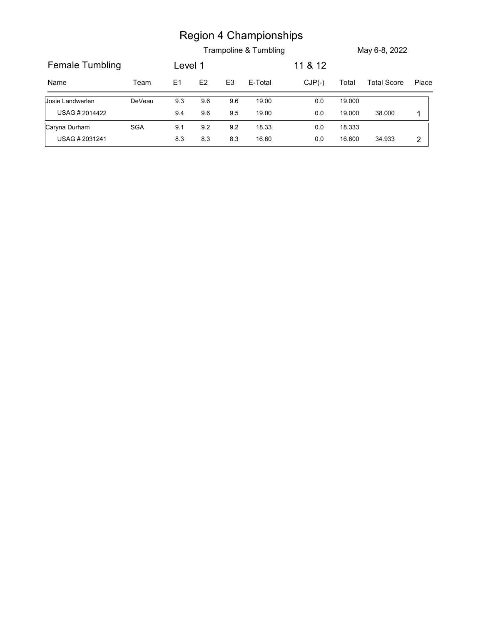|                        |        |         |         |                | <b>Region 4 Championships</b><br>Trampoline & Tumbling |          |        | May 6-8, 2022      |             |
|------------------------|--------|---------|---------|----------------|--------------------------------------------------------|----------|--------|--------------------|-------------|
| <b>Female Tumbling</b> |        | Level 1 |         |                |                                                        | 11 & 12  |        |                    |             |
| Name                   | Team   | E1      | E2      | E <sub>3</sub> | E-Total                                                | $CJP(-)$ | Total  | <b>Total Score</b> |             |
| Josie Landwerlen       | DeVeau | 9.3     | 9.6     | 9.6            | 19.00                                                  | $0.0\,$  | 19.000 |                    |             |
| USAG # 2014422         |        | 9.4     | $9.6\,$ | 9.5            | 19.00                                                  | $0.0\,$  | 19.000 | 38.000             | $\mathbf 1$ |
| Caryna Durham          | SGA    | 9.1     | 9.2     | 9.2            | 18.33                                                  | $0.0\,$  | 18.333 |                    | Place       |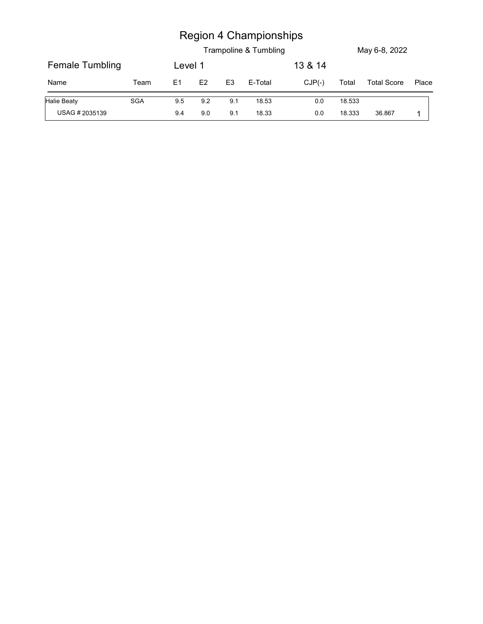| <b>Region 4 Championships</b><br>Trampoline & Tumbling<br>May 6-8, 2022                                   |  |  |  |  |  |  |  |
|-----------------------------------------------------------------------------------------------------------|--|--|--|--|--|--|--|
| <b>Female Tumbling</b><br>13 & 14<br>Level 1                                                              |  |  |  |  |  |  |  |
| E1<br>E2<br>E-Total<br>$CJP(-)$<br>Total<br><b>Total Score</b><br>Place<br>Name<br>Team<br>E <sub>3</sub> |  |  |  |  |  |  |  |
| Halie Beaty<br>SGA<br>9.2<br>9.1<br>18.53<br>$0.0\,$<br>18.533<br>9.5                                     |  |  |  |  |  |  |  |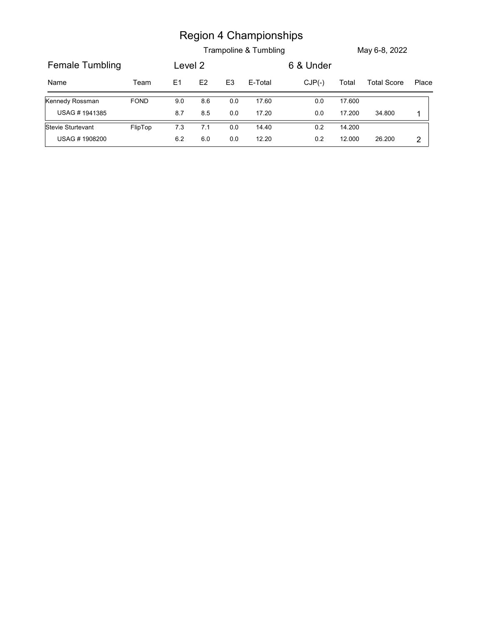| <b>Region 4 Championships</b><br>Trampoline & Tumbling<br>May 6-8, 2022                                   |                   |  |  |  |  |  |
|-----------------------------------------------------------------------------------------------------------|-------------------|--|--|--|--|--|
| <b>Female Tumbling</b><br>6 & Under<br>Level 2                                                            |                   |  |  |  |  |  |
| $CJP(-)$<br>E1<br>E2<br>E <sub>3</sub><br>E-Total<br>Total<br><b>Total Score</b><br>Place<br>Name<br>Team |                   |  |  |  |  |  |
| 17.60<br>17.600<br><b>FOND</b><br>8.6<br>$0.0\,$<br>9.0<br>0.0                                            | Kennedy Rossman   |  |  |  |  |  |
| USAG #1941385<br>17.20<br>17.200<br>$8.7\,$<br>$8.5\,$<br>$0.0\,$<br>$0.0\,$<br>34.800<br>$\mathbf{1}$    |                   |  |  |  |  |  |
| FlipTop<br>14.200<br>7.3<br>7.1<br>14.40<br>$0.2\,$<br>0.0                                                | Stevie Sturtevant |  |  |  |  |  |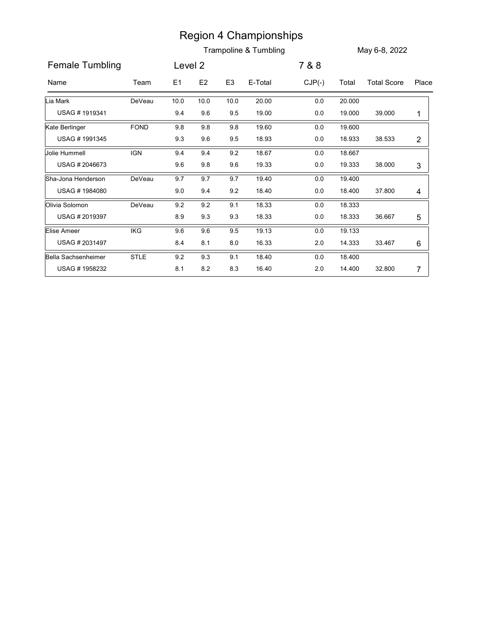|                        |             |         |                |                | <b>Region 4 Championships</b> |          |        |                    |                |
|------------------------|-------------|---------|----------------|----------------|-------------------------------|----------|--------|--------------------|----------------|
|                        |             |         |                |                | Trampoline & Tumbling         |          |        | May 6-8, 2022      |                |
| <b>Female Tumbling</b> |             | Level 2 |                |                |                               | 7 & 8    |        |                    |                |
| Name                   | Team        | E1      | E <sub>2</sub> | E <sub>3</sub> | E-Total                       | $CJP(-)$ | Total  | <b>Total Score</b> | Place          |
| Lia Mark               | DeVeau      | 10.0    | 10.0           | 10.0           | 20.00                         | $0.0\,$  | 20.000 |                    |                |
| USAG #1919341          |             | 9.4     | 9.6            | 9.5            | 19.00                         | $0.0\,$  | 19.000 | 39.000             | $\mathbf{1}$   |
| Kate Berlinger         | <b>FOND</b> | 9.8     | 9.8            | 9.8            | 19.60                         | $0.0\,$  | 19.600 |                    |                |
| USAG #1991345          |             | 9.3     | 9.6            | 9.5            | 18.93                         | 0.0      | 18.933 | 38.533             | $\overline{c}$ |
| Jolie Hummell          | <b>IGN</b>  | 9.4     | 9.4            | 9.2            | 18.67                         | 0.0      | 18.667 |                    |                |
| USAG # 2046673         |             | 9.6     | 9.8            | 9.6            | 19.33                         | $0.0\,$  | 19.333 | 38.000             | 3              |
| Sha-Jona Henderson     | DeVeau      | 9.7     | 9.7            | 9.7            | 19.40                         | $0.0\,$  | 19.400 |                    |                |
| USAG #1984080          |             | 9.0     | 9.4            | 9.2            | 18.40                         | 0.0      | 18.400 | 37.800             | 4              |
| Olivia Solomon         | DeVeau      | 9.2     | 9.2            | 9.1            | 18.33                         | $0.0\,$  | 18.333 |                    |                |
| USAG #2019397          |             | 8.9     | 9.3            | 9.3            | 18.33                         | $0.0\,$  | 18.333 | 36.667             | 5              |
| Elise Ameer            | IKG         | 9.6     | $9.6\,$        | 9.5            | 19.13                         | $0.0\,$  | 19.133 |                    |                |
| USAG # 2031497         |             | 8.4     | 8.1            | 8.0            | 16.33                         | 2.0      | 14.333 | 33.467             | 6              |
| Bella Sachsenheimer    | STLE        | 9.2     | 9.3            | 9.1            | 18.40                         | 0.0      | 18.400 |                    |                |
| USAG #1958232          |             | 8.1     | 8.2            | 8.3            | 16.40                         | 2.0      | 14.400 | 32.800             | $\overline{7}$ |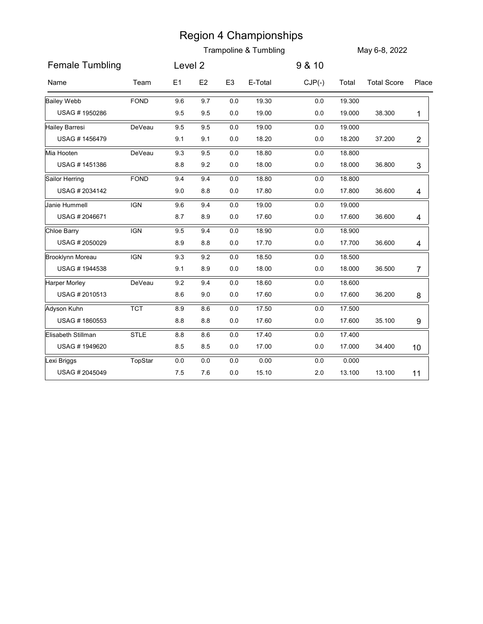|                         |             |         |                |                | <b>Region 4 Championships</b> |          |        |                    |                |
|-------------------------|-------------|---------|----------------|----------------|-------------------------------|----------|--------|--------------------|----------------|
| <b>Female Tumbling</b>  |             | Level 2 |                |                | Trampoline & Tumbling         | 9 & 10   |        | May 6-8, 2022      |                |
| Name                    | Team        | E1      | E <sub>2</sub> | E <sub>3</sub> | E-Total                       | $CJP(-)$ | Total  | <b>Total Score</b> | Place          |
|                         |             |         |                |                |                               |          |        |                    |                |
| <b>Bailey Webb</b>      | <b>FOND</b> | 9.6     | 9.7            | 0.0            | 19.30                         | $0.0\,$  | 19.300 |                    |                |
| USAG #1950286           |             | 9.5     | 9.5            | 0.0            | 19.00                         | $0.0\,$  | 19.000 | 38.300             | $\mathbf{1}$   |
| Hailey Barresi          | DeVeau      | 9.5     | 9.5            | 0.0            | 19.00                         | $0.0\,$  | 19.000 |                    |                |
| USAG #1456479           |             | 9.1     | 9.1            | 0.0            | 18.20                         | $0.0\,$  | 18.200 | 37.200             | $\overline{c}$ |
| Mia Hooten              | DeVeau      | 9.3     | 9.5            | 0.0            | 18.80                         | 0.0      | 18.800 |                    |                |
| USAG #1451386           |             | 8.8     | 9.2            | 0.0            | 18.00                         | $0.0\,$  | 18.000 | 36.800             | 3              |
| Sailor Herring          | <b>FOND</b> | 9.4     | 9.4            | 0.0            | 18.80                         | $0.0\,$  | 18.800 |                    |                |
| USAG # 2034142          |             | 9.0     | 8.8            | 0.0            | 17.80                         | 0.0      | 17.800 | 36.600             | 4              |
| Janie Hummell           | <b>IGN</b>  | 9.6     | 9.4            | $0.0\,$        | 19.00                         | $0.0\,$  | 19.000 |                    |                |
| USAG #2046671           |             | $8.7\,$ | 8.9            | $0.0\,$        | 17.60                         | $0.0\,$  | 17.600 | 36.600             | 4              |
| Chloe Barry             | <b>IGN</b>  | 9.5     | 9.4            | $0.0\,$        | 18.90                         | $0.0\,$  | 18.900 |                    |                |
| USAG #2050029           |             | 8.9     | $8.8\,$        | 0.0            | 17.70                         | $0.0\,$  | 17.700 | 36.600             | 4              |
| <b>Brooklynn Moreau</b> | <b>IGN</b>  | 9.3     | 9.2            | $0.0\,$        | 18.50                         | $0.0\,$  | 18.500 |                    |                |
| USAG #1944538           |             | 9.1     | 8.9            | 0.0            | 18.00                         | 0.0      | 18.000 | 36.500             | 7              |
| <b>Harper Morley</b>    | DeVeau      | 9.2     | 9.4            | $0.0\,$        | 18.60                         | $0.0\,$  | 18.600 |                    |                |
| USAG # 2010513          |             | 8.6     | 9.0            | 0.0            | 17.60                         | 0.0      | 17.600 | 36.200             | 8              |
| Adyson Kuhn             | <b>TCT</b>  | 8.9     | 8.6            | $0.0\,$        | 17.50                         | 0.0      | 17.500 |                    |                |
| USAG #1860553           |             | $8.8\,$ | $8.8\,$        | 0.0            | 17.60                         | $0.0\,$  | 17.600 | 35.100             | 9              |
| Elisabeth Stillman      | STLE        | $8.8\,$ | 8.6            | $0.0\,$        | 17.40                         | $0.0\,$  | 17.400 |                    |                |
| USAG #1949620           |             | 8.5     | 8.5            | 0.0            | 17.00                         | 0.0      | 17.000 | 34.400             | 10             |
| Lexi Briggs             | TopStar     | 0.0     | $0.0\,$        | 0.0            | 0.00                          | 0.0      | 0.000  |                    |                |
| USAG #2045049           |             | 7.5     | 7.6            | 0.0            | 15.10                         | 2.0      | 13.100 | 13.100             | 11             |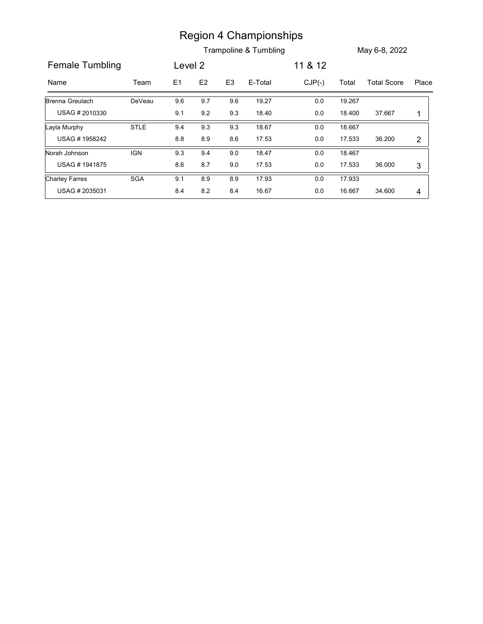|                        |                              |                |               |                | <b>Region 4 Championships</b> |          |        |                    |                           |
|------------------------|------------------------------|----------------|---------------|----------------|-------------------------------|----------|--------|--------------------|---------------------------|
|                        |                              |                |               |                | Trampoline & Tumbling         |          |        | May 6-8, 2022      |                           |
| <b>Female Tumbling</b> |                              | Level 2        |               |                |                               | 11 & 12  |        |                    |                           |
| Name                   | Team                         | E <sub>1</sub> | $\mathsf{E2}$ | E <sub>3</sub> | E-Total                       | $CJP(-)$ | Total  | <b>Total Score</b> | Place                     |
| Brenna Greulach        | DeVeau                       | 9.6            | 9.7           | 9.6            | 19.27                         | 0.0      | 19.267 |                    |                           |
|                        |                              |                |               | 9.3            | 18.40                         | $0.0\,$  | 18.400 | 37.667             | 1                         |
| USAG #2010330          |                              | 9.1            | 9.2           |                |                               |          |        |                    |                           |
| Layla Murphy           | $\ensuremath{\mathsf{STLE}}$ | 9.4            | 9.3           | 9.3            | 18.67                         | $0.0\,$  | 18.667 |                    |                           |
| USAG #1958242          |                              | $8.8\,$        | $8.9\,$       | 8.6            | 17.53                         | $0.0\,$  | 17.533 | 36.200             | $\overline{2}$            |
| Norah Johnson          | <b>IGN</b>                   | 9.3            | 9.4           | 9.0            | 18.47                         | $0.0\,$  | 18.467 |                    |                           |
| USAG #1941875          |                              | 8.6            | 8.7           | 9.0            | 17.53                         | 0.0      | 17.533 | 36.000             | $\ensuremath{\mathsf{3}}$ |
| <b>Charley Farres</b>  | <b>SGA</b>                   | 9.1            | $8.9\,$       | 8.9            | 17.93                         | $0.0\,$  | 17.933 |                    |                           |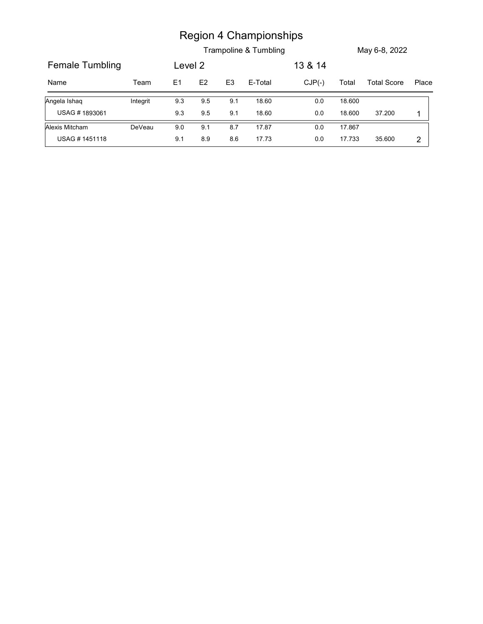|                 |          |         |               |                | <b>Region 4 Championships</b><br>Trampoline & Tumbling |          |        | May 6-8, 2022      |             |
|-----------------|----------|---------|---------------|----------------|--------------------------------------------------------|----------|--------|--------------------|-------------|
| Female Tumbling |          | Level 2 |               |                |                                                        | 13 & 14  |        |                    |             |
| Name            | Team     | E1      | $\mathsf{E}2$ | E <sub>3</sub> | E-Total                                                | $CJP(-)$ | Total  | <b>Total Score</b> | Place       |
| Angela Ishaq    | Integrit | 9.3     | 9.5           | 9.1            | 18.60                                                  | $0.0\,$  | 18.600 |                    |             |
| USAG #1893061   |          | 9.3     | 9.5           | 9.1            | 18.60                                                  | $0.0\,$  | 18.600 | 37.200             | $\mathbf 1$ |
| Alexis Mitcham  | DeVeau   | 9.0     | 9.1           | 8.7            | 17.87                                                  | $0.0\,$  | 17.867 |                    |             |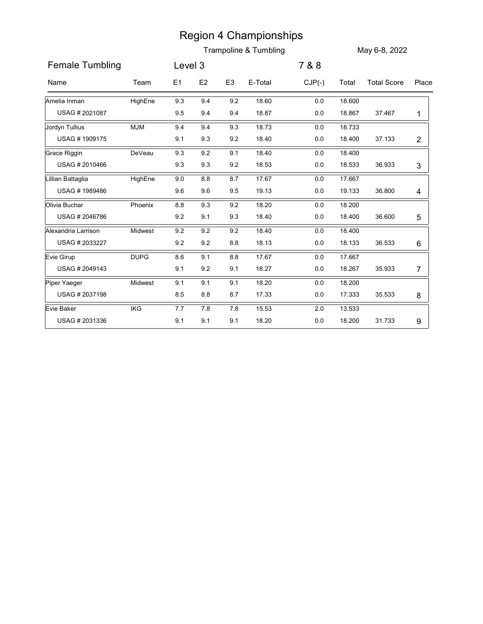|                     |             |         |                |                | <b>Region 4 Championships</b><br>Trampoline & Tumbling |          |        | May 6-8, 2022      |                |
|---------------------|-------------|---------|----------------|----------------|--------------------------------------------------------|----------|--------|--------------------|----------------|
| Female Tumbling     |             | Level 3 |                |                |                                                        | 7 & 8    |        |                    |                |
| Name                | Team        | E1      | E <sub>2</sub> | E <sub>3</sub> | E-Total                                                | $CJP(-)$ | Total  | <b>Total Score</b> | Place          |
| Amelia Inman        | HighEne     | 9.3     | 9.4            | 9.2            | 18.60                                                  | $0.0\,$  | 18.600 |                    |                |
| USAG #2021087       |             | 9.5     | 9.4            | 9.4            | 18.87                                                  | $0.0\,$  | 18.867 | 37.467             | $\mathbf{1}$   |
| Jordyn Tullius      | <b>MJM</b>  | 9.4     | 9.4            | 9.3            | 18.73                                                  | $0.0\,$  | 18.733 |                    |                |
| USAG #1909175       |             | 9.1     | 9.3            | 9.2            | 18.40                                                  | 0.0      | 18.400 | 37.133             | $\overline{c}$ |
| Grace Riggin        | DeVeau      | 9.3     | 9.2            | 9.1            | 18.40                                                  | $0.0\,$  | 18.400 |                    |                |
| USAG # 2010466      |             | 9.3     | 9.3            | 9.2            | 18.53                                                  | $0.0\,$  | 18.533 | 36.933             | 3              |
| Lillian Battaglia   | HighEne     | 9.0     | 8.8            | 8.7            | 17.67                                                  | $0.0\,$  | 17.667 |                    |                |
| USAG #1989486       |             | 9.6     | 9.6            | 9.5            | 19.13                                                  | 0.0      | 19.133 | 36.800             | 4              |
| Olivia Buchar       | Phoenix     | $8.8\,$ | 9.3            | 9.2            | 18.20                                                  | 0.0      | 18.200 |                    |                |
| USAG #2046786       |             | 9.2     | 9.1            | 9.3            | 18.40                                                  | $0.0\,$  | 18.400 | 36.600             | 5              |
| Alexandria Larrison | Midwest     | $9.2\,$ | 9.2            | $9.2\,$        | 18.40                                                  | $0.0\,$  | 18.400 |                    |                |
| USAG # 2033227      |             | 9.2     | 9.2            | 8.8            | 18.13                                                  | 0.0      | 18.133 | 36.533             | 6              |
| Evie Girup          | <b>DUPG</b> | 8.6     | 9.1            | 8.8            | 17.67                                                  | 0.0      | 17.667 |                    |                |
| USAG # 2049143      |             | 9.1     | 9.2            | 9.1            | 18.27                                                  | 0.0      | 18.267 | 35.933             | 7              |
| Piper Yaeger        | Midwest     | 9.1     | 9.1            | 9.1            | 18.20                                                  | $0.0\,$  | 18.200 |                    |                |
| USAG # 2037198      |             | 8.5     | 8.8            | 8.7            | 17.33                                                  | 0.0      | 17.333 | 35.533             | 8              |
| Evie Baker          | IKG         | $7.7$   | 7.8            | 7.8            | 15.53                                                  | 2.0      | 13.533 |                    |                |
| USAG #2031336       |             | 9.1     | 9.1            | 9.1            | 18.20                                                  | $0.0\,$  | 18.200 | 31.733             | 9              |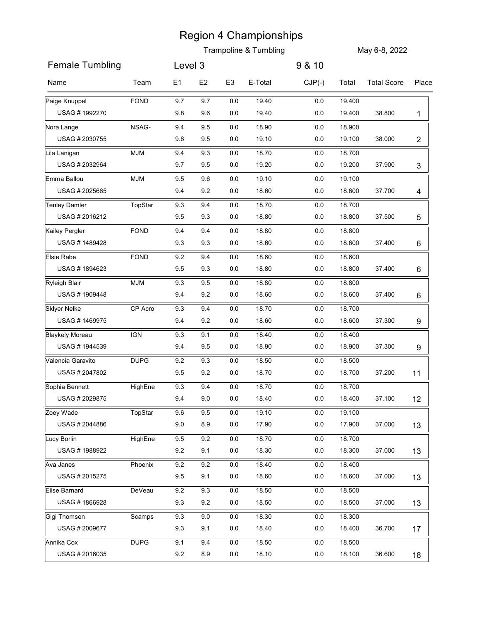|                                       |             |                |                |                | <b>Trampoline &amp; Tumbling</b> |                    |                  | May 6-8, 2022      |                |
|---------------------------------------|-------------|----------------|----------------|----------------|----------------------------------|--------------------|------------------|--------------------|----------------|
| <b>Female Tumbling</b>                |             | Level 3        |                |                |                                  | 9 & 10             |                  |                    |                |
|                                       |             |                |                |                |                                  |                    |                  |                    |                |
| Name                                  | Team        | E <sub>1</sub> | E <sub>2</sub> | E <sub>3</sub> | E-Total                          | $CJP(-)$           | Total            | <b>Total Score</b> | Place          |
| Paige Knuppel                         | <b>FOND</b> | 9.7            | 9.7            | 0.0            | 19.40                            | $0.0\,$            | 19.400           |                    |                |
| USAG #1992270                         |             | 9.8            | 9.6            | 0.0            | 19.40                            | 0.0                | 19.400           | 38.800             | 1              |
| Nora Lange<br>USAG #2030755           | NSAG-       | 9.4<br>9.6     | 9.5<br>9.5     | 0.0<br>0.0     | 18.90<br>19.10                   | $0.0\,$<br>$0.0\,$ | 18.900<br>19.100 | 38.000             |                |
|                                       |             |                |                |                | 18.70                            |                    |                  |                    | $\overline{c}$ |
| Lila Lanigan<br>USAG # 2032964        | <b>MJM</b>  | 9.4<br>9.7     | 9.3<br>9.5     | 0.0<br>0.0     | 19.20                            | 0.0<br>0.0         | 18.700<br>19.200 | 37.900             | 3              |
| Emma Ballou                           | <b>MJM</b>  | 9.5            | 9.6            | 0.0            | 19.10                            | 0.0                | 19.100           |                    |                |
| USAG #2025665                         |             | 9.4            | 9.2            | 0.0            | 18.60                            | $0.0\,$            | 18.600           | 37.700             | 4              |
| <b>Tenley Damler</b>                  | TopStar     | 9.3            | 9.4            | $0.0\,$        | 18.70                            | $0.0\,$            | 18.700           |                    |                |
| USAG #2016212                         |             | 9.5            | 9.3            | $0.0\,$        | 18.80                            | $0.0\,$            | 18.800           | 37.500             | 5              |
| Kailey Pergler                        | <b>FOND</b> | 9.4            | 9.4            | 0.0            | 18.80                            | 0.0                | 18.800           |                    |                |
| USAG #1489428                         |             | 9.3            | 9.3            | $0.0\,$        | 18.60                            | $0.0\,$            | 18.600           | 37.400             | 6              |
| Elsie Rabe                            | <b>FOND</b> | 9.2            | 9.4            | 0.0            | 18.60                            | $0.0\,$            | 18.600           |                    |                |
| USAG #1894623                         |             | 9.5            | 9.3            | 0.0            | 18.80                            | $0.0\,$            | 18.800           | 37.400             | 6              |
| <b>Ryleigh Blair</b>                  | <b>MJM</b>  | 9.3            | 9.5            | 0.0            | 18.80                            | 0.0                | 18.800           |                    |                |
| USAG #1909448                         |             | 9.4            | 9.2            | 0.0            | 18.60                            | $0.0\,$            | 18.600           | 37.400             | 6              |
| <b>Sklyer Nelke</b><br>USAG #1469975  | CP Acro     | 9.3<br>9.4     | 9.4<br>$9.2\,$ | 0.0<br>$0.0\,$ | 18.70<br>18.60                   | $0.0\,$<br>$0.0\,$ | 18.700<br>18.600 | 37.300             |                |
| <b>Blaykely Moreau</b>                | <b>IGN</b>  | 9.3            | 9.1            | 0.0            | 18.40                            | $0.0\,$            | 18.400           |                    | 9              |
| USAG #1944539                         |             | 9.4            | 9.5            | 0.0            | 18.90                            | 0.0                | 18.900           | 37.300             | 9              |
| Valencia Garavito                     | <b>DUPG</b> | $9.2\,$        | 9.3            | 0.0            | 18.50                            | $0.0\,$            | 18.500           |                    |                |
| USAG # 2047802                        |             | 9.5            | $9.2\,$        | $0.0\,$        | 18.70                            | $0.0\,$            | 18.700           | 37.200             | 11             |
| Sophia Bennett                        | HighEne     | 9.3            | 9.4            | 0.0            | 18.70                            | 0.0                | 18.700           |                    |                |
| USAG # 2029875                        |             | 9.4            | 9.0            | 0.0            | 18.40                            | $0.0\,$            | 18.400           | 37.100             | 12             |
| Zoey Wade                             | TopStar     | 9.6            | 9.5            | 0.0            | 19.10                            | $0.0\,$            | 19.100           |                    |                |
| USAG # 2044886                        |             | 9.0            | 8.9            | $0.0\,$        | 17.90                            | $0.0\,$            | 17.900           | 37.000             | 13             |
| Lucy Borlin                           | HighEne     | 9.5            | 9.2            | 0.0            | 18.70                            | 0.0                | 18.700           |                    |                |
| USAG #1988922                         |             | 9.2            | 9.1            | 0.0            | 18.30                            | $0.0\,$            | 18.300           | 37.000             | 13             |
| Ava Janes                             | Phoenix     | 9.2            | 9.2            | $0.0\,$        | 18.40                            | $0.0\,$            | 18.400           |                    |                |
| USAG # 2015275                        |             | 9.5            | 9.1            | $0.0\,$        | 18.60                            | $0.0\,$            | 18.600           | 37.000             | 13             |
| Elise Barnard                         | DeVeau      | 9.2            | 9.3            | 0.0            | 18.50                            | $0.0\,$            | 18.500           |                    |                |
| USAG #1866928                         |             | 9.3            | 9.2            | $0.0\,$        | 18.50                            | $0.0\,$            | 18.500           | 37.000             | 13             |
| <b>Gigi Thomsen</b><br>USAG # 2009677 | Scamps      | 9.3            | 9.0<br>9.1     | 0.0<br>$0.0\,$ | 18.30<br>18.40                   | $0.0\,$<br>$0.0\,$ | 18.300<br>18.400 | 36.700             |                |
|                                       |             | 9.3            |                |                |                                  |                    |                  |                    | 17             |
| Annika Cox<br>USAG #2016035           | <b>DUPG</b> | 9.1<br>$9.2\,$ | 9.4<br>8.9     | 0.0<br>0.0     | 18.50<br>18.10                   | 0.0<br>0.0         | 18.500<br>18.100 | 36.600             | 18             |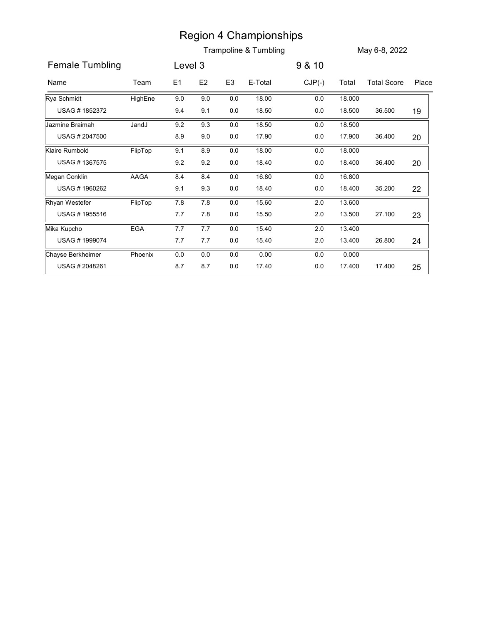|                   |         |         |                |                | <b>Region 4 Championships</b> |          |        |                    |       |
|-------------------|---------|---------|----------------|----------------|-------------------------------|----------|--------|--------------------|-------|
|                   |         |         |                |                | Trampoline & Tumbling         |          |        | May 6-8, 2022      |       |
| Female Tumbling   |         | Level 3 |                |                |                               | 9 & 10   |        |                    |       |
| Name              | Team    | E1      | E <sub>2</sub> | E <sub>3</sub> | E-Total                       | $CJP(-)$ | Total  | <b>Total Score</b> | Place |
| Rya Schmidt       | HighEne | 9.0     | 9.0            | $0.0\,$        | 18.00                         | $0.0\,$  | 18.000 |                    |       |
| USAG #1852372     |         | 9.4     | 9.1            | 0.0            | 18.50                         | $0.0\,$  | 18.500 | 36.500             | 19    |
| Jazmine Braimah   | JandJ   | 9.2     | 9.3            | $0.0\,$        | 18.50                         | 0.0      | 18.500 |                    |       |
| USAG #2047500     |         | 8.9     | 9.0            | 0.0            | 17.90                         | $0.0\,$  | 17.900 | 36.400             | 20    |
| Klaire Rumbold    | FlipTop | 9.1     | 8.9            | $0.0\,$        | 18.00                         | $0.0\,$  | 18.000 |                    |       |
| USAG #1367575     |         | 9.2     | 9.2            | 0.0            | 18.40                         | $0.0\,$  | 18.400 | 36.400             | 20    |
| Megan Conklin     | AAGA    | 8.4     | 8.4            | 0.0            | 16.80                         | 0.0      | 16.800 |                    |       |
| USAG #1960262     |         | 9.1     | 9.3            | 0.0            | 18.40                         | $0.0\,$  | 18.400 | 35.200             | 22    |
| Rhyan Westefer    | FlipTop | 7.8     | $7.8\,$        | $0.0\,$        | 15.60                         | $2.0\,$  | 13.600 |                    |       |
| USAG #1955516     |         | $7.7\,$ | $7.8$          | $0.0\,$        | 15.50                         | $2.0\,$  | 13.500 | 27.100             | 23    |
| Mika Kupcho       | EGA     | 7.7     | 7.7            | $0.0\,$        | 15.40                         | $2.0\,$  | 13.400 |                    |       |
| USAG #1999074     |         | $7.7$   | 7.7            | $0.0\,$        | 15.40                         | $2.0\,$  | 13.400 | 26.800             | 24    |
| Chayse Berkheimer | Phoenix | $0.0\,$ | $0.0\,$        | $0.0\,$        | 0.00                          | $0.0\,$  | 0.000  |                    |       |
| USAG #2048261     |         | 8.7     | 8.7            | 0.0            | 17.40                         | $0.0\,$  | 17.400 | 17.400             | 25    |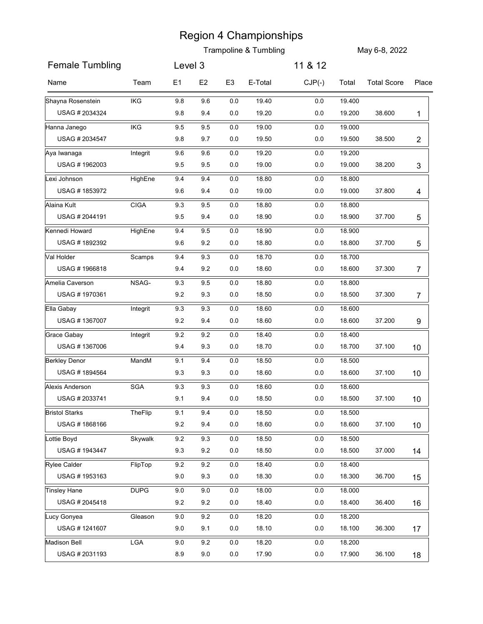|                                       |             |                |                |                | <b>Trampoline &amp; Tumbling</b> |            |                  | May 6-8, 2022      |                 |
|---------------------------------------|-------------|----------------|----------------|----------------|----------------------------------|------------|------------------|--------------------|-----------------|
| <b>Female Tumbling</b>                |             | Level 3        |                |                |                                  | 11 & 12    |                  |                    |                 |
|                                       |             |                |                |                |                                  |            |                  |                    |                 |
| Name                                  | Team        | E <sub>1</sub> | E <sub>2</sub> | E <sub>3</sub> | E-Total                          | $CJP(-)$   | Total            | <b>Total Score</b> | Place           |
| Shayna Rosenstein                     | <b>IKG</b>  | 9.8            | 9.6            | 0.0            | 19.40                            | $0.0\,$    | 19.400           |                    |                 |
| USAG # 2034324                        |             | 9.8            | 9.4            | 0.0            | 19.20                            | 0.0        | 19.200           | 38.600             | 1               |
| Hanna Janego<br>USAG # 2034547        | IKG         | 9.5<br>9.8     | 9.5<br>9.7     | 0.0<br>0.0     | 19.00<br>19.50                   | 0.0<br>0.0 | 19.000<br>19.500 | 38.500             | $\overline{2}$  |
| Aya Iwanaga                           | Integrit    | 9.6            | 9.6            | 0.0            | 19.20                            | 0.0        | 19.200           |                    |                 |
| USAG #1962003                         |             | 9.5            | 9.5            | 0.0            | 19.00                            | 0.0        | 19.000           | 38.200             | 3               |
| Lexi Johnson                          | HighEne     | 9.4            | 9.4            | 0.0            | 18.80                            | 0.0        | 18.800           |                    |                 |
| USAG #1853972                         |             | 9.6            | 9.4            | 0.0            | 19.00                            | 0.0        | 19.000           | 37.800             | 4               |
| Alaina Kult                           | <b>CIGA</b> | 9.3            | 9.5            | 0.0            | 18.80                            | $0.0\,$    | 18.800           |                    |                 |
| USAG #2044191                         |             | 9.5            | 9.4            | $0.0\,$        | 18.90                            | $0.0\,$    | 18.900           | 37.700             | 5               |
| Kennedi Howard                        | HighEne     | 9.4            | 9.5            | $0.0\,$        | 18.90                            | 0.0        | 18.900           |                    |                 |
| USAG #1892392                         |             | 9.6            | 9.2            | $0.0\,$        | 18.80                            | $0.0\,$    | 18.800           | 37.700             | 5               |
| Val Holder                            | Scamps      | 9.4            | 9.3            | 0.0            | 18.70                            | $0.0\,$    | 18.700           |                    |                 |
| USAG #1966818                         |             | 9.4            | 9.2            | $0.0\,$        | 18.60                            | 0.0        | 18.600           | 37.300             | 7               |
| Amelia Caverson                       | NSAG-       | 9.3            | 9.5            | 0.0            | 18.80                            | 0.0        | 18.800           |                    |                 |
| USAG #1970361                         |             | 9.2            | 9.3            | 0.0            | 18.50                            | 0.0        | 18.500           | 37.300             | 7               |
| Ella Gabay                            | Integrit    | 9.3            | 9.3            | 0.0            | 18.60                            | 0.0        | 18.600           |                    |                 |
| USAG #1367007                         |             | $9.2\,$        | 9.4            | $0.0\,$        | 18.60                            | $0.0\,$    | 18.600           | 37.200             | 9               |
| Grace Gabay<br>USAG #1367006          | Integrit    | 9.2<br>9.4     | 9.2<br>9.3     | $0.0\,$<br>0.0 | 18.40<br>18.70                   | 0.0<br>0.0 | 18.400<br>18.700 | 37.100             |                 |
|                                       |             |                |                |                |                                  |            |                  |                    | 10 <sup>°</sup> |
| <b>Berkley Denor</b><br>USAG #1894564 | MandM       | 9.1<br>9.3     | 9.4<br>9.3     | 0.0<br>$0.0\,$ | 18.50<br>18.60                   | 0.0<br>0.0 | 18.500<br>18.600 | 37.100             | 10 <sup>°</sup> |
| Alexis Anderson                       | SGA         | 9.3            | 9.3            | 0.0            | 18.60                            | 0.0        | 18.600           |                    |                 |
| USAG # 2033741                        |             | 9.1            | 9.4            | 0.0            | 18.50                            | $0.0\,$    | 18.500           | 37.100             | 10 <sup>°</sup> |
| <b>Bristol Starks</b>                 | TheFlip     | 9.1            | 9.4            | 0.0            | 18.50                            | 0.0        | 18.500           |                    |                 |
| USAG #1868166                         |             | $9.2\,$        | 9.4            | $0.0\,$        | 18.60                            | $0.0\,$    | 18.600           | 37.100             | 10 <sup>°</sup> |
| Lottie Boyd                           | Skywalk     | 9.2            | 9.3            | 0.0            | 18.50                            | 0.0        | 18.500           |                    |                 |
| USAG #1943447                         |             | 9.3            | 9.2            | 0.0            | 18.50                            | $0.0\,$    | 18.500           | 37.000             | 14              |
| <b>Rylee Calder</b>                   | FlipTop     | 9.2            | 9.2            | 0.0            | 18.40                            | $0.0\,$    | 18.400           |                    |                 |
| USAG #1953163                         |             | 9.0            | 9.3            | $0.0\,$        | 18.30                            | 0.0        | 18.300           | 36.700             | 15              |
| Tinsley Hane                          | <b>DUPG</b> | $9.0\,$        | 9.0            | 0.0            | 18.00                            | $0.0\,$    | 18.000           |                    |                 |
| USAG # 2045418                        |             | $9.2\,$        | 9.2            | 0.0            | 18.40                            | 0.0        | 18.400           | 36.400             | 16              |
| Lucy Gonyea                           | Gleason     | 9.0            | 9.2            | 0.0            | 18.20                            | $0.0\,$    | 18.200           |                    |                 |
| USAG #1241607                         |             | 9.0            | 9.1            | $0.0\,$        | 18.10                            | 0.0        | 18.100           | 36.300             | 17              |
| Madison Bell                          | LGA         | 9.0            | 9.2            | 0.0            | 18.20                            | 0.0        | 18.200           |                    |                 |
| USAG #2031193                         |             | 8.9            | 9.0            | 0.0            | 17.90                            | 0.0        | 17.900           | 36.100             | 18              |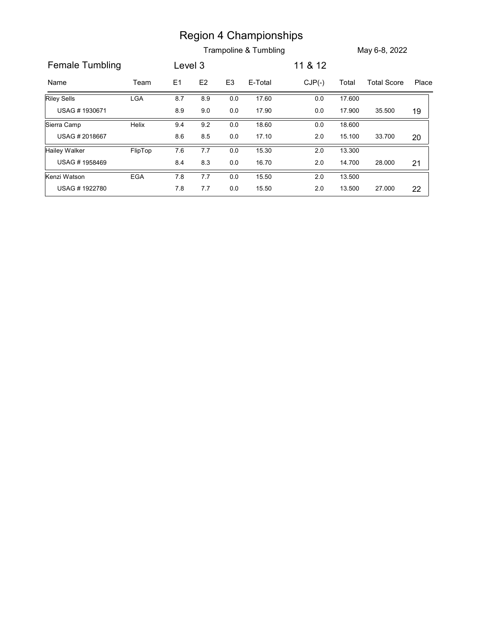|                               |            |            |         |                | <b>Region 4 Championships</b><br>Trampoline & Tumbling |          |                  | May 6-8, 2022      |       |
|-------------------------------|------------|------------|---------|----------------|--------------------------------------------------------|----------|------------------|--------------------|-------|
| <b>Female Tumbling</b>        |            | Level 3    |         |                |                                                        | 11 & 12  |                  |                    |       |
| Name                          | Team       | E1         | E2      | E <sub>3</sub> | E-Total                                                | $CJP(-)$ | Total            | <b>Total Score</b> |       |
| Riley Sells                   | <b>LGA</b> | 8.7        | 8.9     | $0.0\,$        | 17.60                                                  | $0.0\,$  | 17.600           |                    |       |
| USAG #1930671                 |            | 8.9        | $9.0\,$ | $0.0\,$        | 17.90                                                  | $0.0\,$  | 17.900           | 35.500             | 19    |
| Sierra Camp                   | Helix      | 9.4        | 9.2     | $0.0\,$        | 18.60                                                  | 0.0      | 18.600           |                    |       |
| USAG #2018667                 |            | 8.6        | $8.5\,$ | $0.0\,$        | 17.10                                                  | $2.0\,$  | 15.100           | 33.700             | 20    |
| <b>Hailey Walker</b>          | FlipTop    | 7.6        | $7.7\,$ | $0.0\,$        | 15.30                                                  | $2.0\,$  | 13.300           |                    |       |
| USAG #1958469                 |            | 8.4        | $8.3\,$ | 0.0            | 16.70                                                  | $2.0\,$  | 14.700           | 28.000             | 21    |
| Kenzi Watson<br>USAG #1922780 | EGA        | 7.8<br>7.8 | $7.7\,$ | $0.0\,$        | 15.50<br>15.50                                         | $2.0\,$  | 13.500<br>13.500 |                    | Place |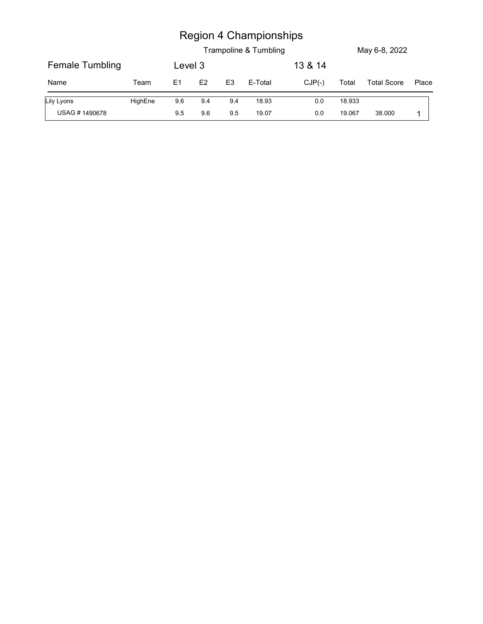|                 |         |                |     |                | <b>Region 4 Championships</b> |          |        |                    |       |
|-----------------|---------|----------------|-----|----------------|-------------------------------|----------|--------|--------------------|-------|
|                 |         |                |     |                | Trampoline & Tumbling         |          |        | May 6-8, 2022      |       |
| Female Tumbling |         | Level 3        |     |                |                               | 13 & 14  |        |                    |       |
| Name            | Team    | E <sub>1</sub> | E2  | E <sub>3</sub> | E-Total                       | $CJP(-)$ | Total  | <b>Total Score</b> | Place |
| Lily Lyons      | HighEne | 9.6            | 9.4 | 9.4            | 18.93                         | $0.0\,$  | 18.933 |                    |       |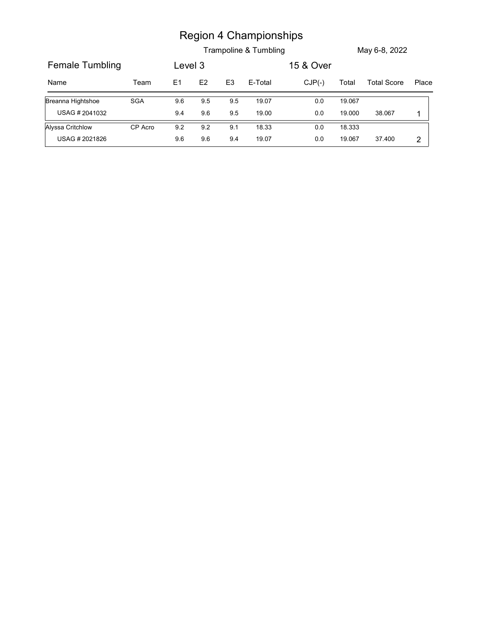|                        |            |         |               |                | <b>Region 4 Championships</b> |           |        |                    |              |
|------------------------|------------|---------|---------------|----------------|-------------------------------|-----------|--------|--------------------|--------------|
|                        |            |         |               |                | Trampoline & Tumbling         |           |        | May 6-8, 2022      |              |
| <b>Female Tumbling</b> |            | Level 3 |               |                |                               | 15 & Over |        |                    |              |
| Name                   | Team       | E1      | $\mathsf{E2}$ | E <sub>3</sub> | E-Total                       | $CJP(-)$  | Total  | <b>Total Score</b> | Place        |
| Breanna Hightshoe      | <b>SGA</b> | 9.6     | 9.5           | 9.5            | 19.07                         | $0.0\,$   | 19.067 |                    |              |
| USAG # 2041032         |            | 9.4     | 9.6           | $9.5\,$        | 19.00                         | $0.0\,$   | 19.000 | 38.067             | $\mathbf{1}$ |
| Alyssa Critchlow       | CP Acro    | 9.2     | 9.2           | 9.1            | 18.33                         | 0.0       | 18.333 |                    |              |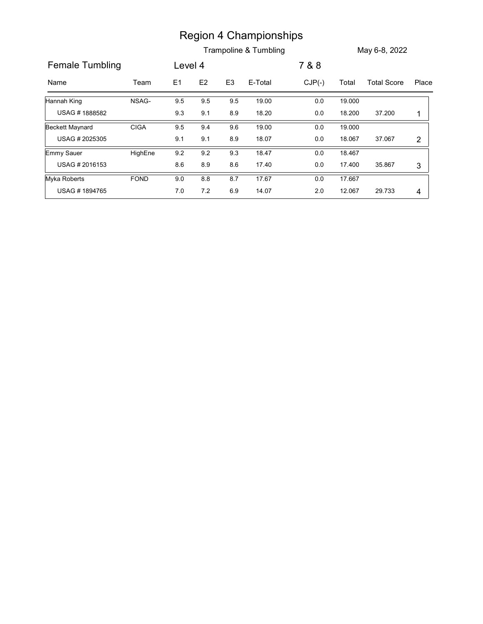|                        |             |         |               |                | <b>Region 4 Championships</b> |          |        |                    |                |
|------------------------|-------------|---------|---------------|----------------|-------------------------------|----------|--------|--------------------|----------------|
|                        |             |         |               |                | Trampoline & Tumbling         |          |        | May 6-8, 2022      |                |
|                        |             |         |               |                |                               |          |        |                    |                |
| <b>Female Tumbling</b> |             | Level 4 |               |                |                               | 7 & 8    |        |                    |                |
| Name                   | Team        | E1      | $\mathsf{E2}$ | E <sub>3</sub> | E-Total                       | $CJP(-)$ | Total  | <b>Total Score</b> | Place          |
| Hannah King            | NSAG-       | 9.5     | 9.5           | 9.5            | 19.00                         | $0.0\,$  | 19.000 |                    |                |
|                        |             | 9.3     | 9.1           | 8.9            | 18.20                         | $0.0\,$  | 18.200 | 37.200             | $\mathbf{1}$   |
| USAG #1888582          |             |         |               |                | 19.00                         | $0.0\,$  | 19.000 |                    |                |
| <b>Beckett Maynard</b> | <b>CIGA</b> | 9.5     | 9.4           | 9.6            |                               |          |        |                    |                |
| USAG #2025305          |             | 9.1     | 9.1           | 8.9            | 18.07                         | $0.0\,$  | 18.067 | 37.067             | $\overline{2}$ |
| Emmy Sauer             | HighEne     | 9.2     | 9.2           | 9.3            | 18.47                         | $0.0\,$  | 18.467 |                    |                |
| USAG #2016153          |             | 8.6     | 8.9           | 8.6            | 17.40                         | $0.0\,$  | 17.400 | 35.867             | $\mathbf{3}$   |
| Myka Roberts           | FOND        | $9.0\,$ | $\bf 8.8$     | 8.7            | 17.67                         | $0.0\,$  | 17.667 |                    |                |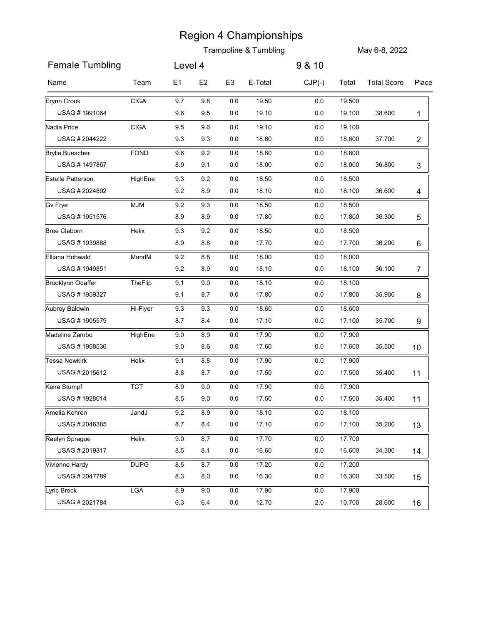|                                 |             |            |                |                    | <b>Region 4 Championships</b>    |                    |                  |                    |                 |
|---------------------------------|-------------|------------|----------------|--------------------|----------------------------------|--------------------|------------------|--------------------|-----------------|
|                                 |             |            |                |                    | <b>Trampoline &amp; Tumbling</b> |                    |                  | May 6-8, 2022      |                 |
| <b>Female Tumbling</b>          |             | Level 4    |                |                    |                                  | 9 & 10             |                  |                    |                 |
| Name                            | Team        | E1         | E <sub>2</sub> | E <sub>3</sub>     | E-Total                          | $CJP(-)$           | Total            | <b>Total Score</b> | Place           |
| Erynn Crook                     | <b>CIGA</b> | 9.7        | 9.8            | 0.0                | 19.50                            | $0.0\,$            | 19.500           |                    |                 |
| USAG #1991064                   |             | 9.6        | 9.5            | 0.0                | 19.10                            | $0.0\,$            | 19.100           | 38.600             | 1               |
| Nadia Price                     | <b>CIGA</b> | 9.5        | 9.6            | 0.0                | 19.10                            | $0.0\,$            | 19.100           |                    |                 |
| USAG # 2044222                  |             | 9.3        | 9.3            | 0.0                | 18.60                            | $0.0\,$            | 18.600           | 37.700             | $\overline{c}$  |
| <b>Brylie Buescher</b>          | <b>FOND</b> | 9.6        | 9.2            | 0.0                | 18.80                            | $0.0\,$            | 18.800           |                    |                 |
| USAG #1497867                   |             | 8.9        | 9.1            | 0.0                | 18.00                            | $0.0\,$            | 18.000           | 36.800             | 3               |
| <b>Estelle Patterson</b>        | HighEne     | 9.3        | 9.2            | 0.0                | 18.50                            | 0.0                | 18.500           |                    |                 |
| USAG # 2024892                  |             | 9.2        | 8.9            | 0.0                | 18.10                            | $0.0\,$            | 18.100           | 36.600             | 4               |
| <b>Gv Frye</b><br>USAG #1951576 | <b>MJM</b>  | 9.2<br>8.9 | 9.3<br>$8.9\,$ | $0.0\,$<br>$0.0\,$ | 18.50<br>17.80                   | $0.0\,$<br>$0.0\,$ | 18.500<br>17.800 | 36.300             |                 |
| <b>Bree Claborn</b>             | Helix       | 9.3        | 9.2            | $0.0\,$            | 18.50                            | $0.0\,$            | 18.500           |                    | 5               |
| USAG #1939888                   |             | 8.9        | 8.8            | 0.0                | 17.70                            | 0.0                | 17.700           | 36.200             | 6               |
| Elliana Hohwald                 | MandM       | $9.2\,$    | 8.8            | 0.0                | 18.00                            | 0.0                | 18.000           |                    |                 |
| USAG #1949851                   |             | 9.2        | 8.9            | 0.0                | 18.10                            | $0.0\,$            | 18.100           | 36.100             | 7               |
| <b>Brooklynn Odaffer</b>        | TheFlip     | 9.1        | $9.0\,$        | 0.0                | 18.10                            | 0.0                | 18.100           |                    |                 |
| USAG #1959327                   |             | 9.1        | 8.7            | 0.0                | 17.80                            | 0.0                | 17.800           | 35.900             | 8               |
| Aubrey Baldwin                  | Hi-Flyer    | 9.3        | 9.3            | 0.0                | 18.60                            | 0.0                | 18.600           |                    |                 |
| USAG #1905579                   |             | 8.7        | 8.4            | 0.0                | 17.10                            | $0.0\,$            | 17.100           | 35.700             | 9               |
| Madeline Zambo                  | HighEne     | $9.0\,$    | 8.9            | 0.0                | 17.90                            | 0.0                | 17.900           |                    |                 |
| USAG #1958536                   |             | 9.0        | 8.6            | 0.0                | 17.60                            | 0.0                | 17.600           | 35.500             | 10 <sup>°</sup> |
| <b>Tessa Newkirk</b>            | Helix       | 9.1        | 8.8            | 0.0                | 17.90                            | 0.0                | 17.900           |                    |                 |
| USAG #2015612                   |             | 8.8        | 8.7            | 0.0                | 17.50                            | $0.0\,$            | 17.500           | 35.400             | 11              |
| Keira Stumpf                    | <b>TCT</b>  | 8.9        | $9.0\,$        | $0.0\,$            | 17.90                            | 0.0                | 17.900           |                    |                 |
| USAG #1928014                   |             | 8.5        | 9.0            | 0.0                | 17.50                            | 0.0                | 17.500           | 35.400             | 11              |
| Amelia Kehren                   | JandJ       | 9.2        | 8.9            | 0.0                | 18.10                            | 0.0                | 18.100           |                    |                 |
| USAG # 2046385                  |             | 8.7        | 8.4            | 0.0                | 17.10                            | 0.0                | 17.100           | 35.200             | 13              |
| Raelyn Sprague                  | Helix       | 9.0        | 8.7            | 0.0                | 17.70                            | 0.0                | 17.700           |                    |                 |
| USAG # 2019317                  |             | 8.5        | 8.1            | 0.0                | 16.60                            | 0.0                | 16.600           | 34.300             | 14              |
| Vivienne Hardy                  | <b>DUPG</b> | 8.5        | 8.7            | 0.0                | 17.20                            | 0.0                | 17.200           |                    |                 |
| USAG # 2047789                  |             | 8.3        | 8.0            | 0.0                | 16.30                            | 0.0                | 16.300           | 33.500             | 15              |
| Lyric Brock<br>USAG #2021784    | LGA         | 8.9<br>6.3 | 9.0<br>6.4     | 0.0<br>0.0         | 17.90<br>12.70                   | 0.0<br>$2.0\,$     | 17.900<br>10.700 | 28.600             | 16              |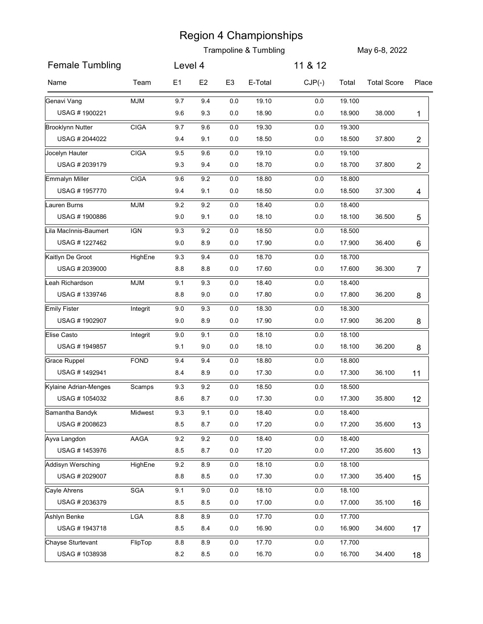|                                          |             |                |                |                | <b>Trampoline &amp; Tumbling</b> |                    |                  | May 6-8, 2022      |                |
|------------------------------------------|-------------|----------------|----------------|----------------|----------------------------------|--------------------|------------------|--------------------|----------------|
| <b>Female Tumbling</b>                   |             | Level 4        |                |                |                                  | 11 & 12            |                  |                    |                |
|                                          |             |                |                |                |                                  |                    |                  |                    |                |
| Name                                     | Team        | E1             | E <sub>2</sub> | E <sub>3</sub> | E-Total                          | $CJP(-)$           | Total            | <b>Total Score</b> | Place          |
| Genavi Vang                              | <b>MJM</b>  | 9.7            | 9.4            | 0.0            | 19.10                            | $0.0\,$            | 19.100           |                    |                |
| USAG #1900221<br><b>Brooklynn Nutter</b> | <b>CIGA</b> | 9.6<br>9.7     | 9.3<br>9.6     | 0.0<br>0.0     | 18.90<br>19.30                   | 0.0<br>$0.0\,$     | 18.900<br>19.300 | 38.000             | 1              |
| USAG # 2044022                           |             | 9.4            | 9.1            | 0.0            | 18.50                            | $0.0\,$            | 18.500           | 37.800             | $\overline{c}$ |
| Jocelyn Hauter                           | <b>CIGA</b> | 9.5            | 9.6            | 0.0            | 19.10                            | 0.0                | 19.100           |                    |                |
| USAG # 2039179                           |             | 9.3            | 9.4            | 0.0            | 18.70                            | 0.0                | 18.700           | 37.800             | $\overline{c}$ |
| <b>Emmalyn Miller</b>                    | <b>CIGA</b> | 9.6            | 9.2            | 0.0            | 18.80                            | 0.0                | 18.800           |                    |                |
| USAG #1957770                            |             | 9.4            | 9.1            | 0.0            | 18.50                            | $0.0\,$            | 18.500           | 37.300             | 4              |
| Lauren Burns                             | <b>MJM</b>  | 9.2            | 9.2            | $0.0\,$        | 18.40                            | $0.0\,$            | 18.400           |                    |                |
| USAG #1900886                            |             | $9.0\,$        | 9.1            | $0.0\,$        | 18.10                            | $0.0\,$            | 18.100           | 36.500             | 5              |
| Lila MacInnis-Baumert                    | <b>IGN</b>  | 9.3            | 9.2            | 0.0            | 18.50                            | 0.0                | 18.500           |                    |                |
| USAG #1227462                            |             | $9.0\,$        | 8.9            | $0.0\,$        | 17.90                            | $0.0\,$            | 17.900           | 36.400             | 6              |
| Kaitlyn De Groot<br>USAG # 2039000       | HighEne     | 9.3<br>$8.8\,$ | 9.4<br>8.8     | 0.0<br>$0.0\,$ | 18.70<br>17.60                   | $0.0\,$<br>$0.0\,$ | 18.700<br>17.600 | 36.300             | 7              |
| Leah Richardson                          | <b>MJM</b>  | 9.1            | 9.3            | 0.0            | 18.40                            | 0.0                | 18.400           |                    |                |
| USAG #1339746                            |             | $8.8\,$        | 9.0            | 0.0            | 17.80                            | $0.0\,$            | 17.800           | 36.200             | 8              |
| <b>Emily Fister</b>                      | Integrit    | $9.0\,$        | 9.3            | $0.0\,$        | 18.30                            | $0.0\,$            | 18.300           |                    |                |
| USAG #1902907                            |             | 9.0            | 8.9            | $0.0\,$        | 17.90                            | $0.0\,$            | 17.900           | 36.200             | 8              |
| Elise Casto                              | Integrit    | $9.0\,$        | 9.1            | 0.0            | 18.10                            | $0.0\,$            | 18.100           |                    |                |
| USAG #1949857                            |             | 9.1            | 9.0            | 0.0            | 18.10                            | $0.0\,$            | 18.100           | 36.200             | 8              |
| Grace Ruppel                             | <b>FOND</b> | 9.4            | 9.4            | $0.0\,$        | 18.80                            | $0.0\,$            | 18.800           |                    |                |
| USAG #1492941                            |             | 8.4            | 8.9            | $0.0\,$        | 17.30                            | $0.0\,$            | 17.300           | 36.100             | 11             |
| Kylaine Adrian-Menges                    | Scamps      | 9.3            | 9.2            | 0.0            | 18.50                            | $0.0\,$            | 18.500           |                    |                |
| USAG #1054032                            |             | 8.6            | 8.7            | 0.0            | 17.30                            | $0.0\,$            | 17.300           | 35.800             | 12             |
| Samantha Bandyk<br>USAG # 2008623        | Midwest     | 9.3<br>8.5     | 9.1<br>$8.7\,$ | 0.0<br>$0.0\,$ | 18.40<br>17.20                   | $0.0\,$<br>$0.0\,$ | 18.400<br>17.200 | 35.600             |                |
|                                          |             | 9.2            | 9.2            |                | 18.40                            | 0.0                | 18.400           |                    | 13             |
| Ayva Langdon<br>USAG #1453976            | AAGA        | 8.5            | 8.7            | $0.0\,$<br>0.0 | 17.20                            | $0.0\,$            | 17.200           | 35.600             | 13             |
| Addisyn Wersching                        | HighEne     | 9.2            | $8.9\,$        | $0.0\,$        | 18.10                            | $0.0\,$            | 18.100           |                    |                |
| USAG # 2029007                           |             | $8.8\,$        | 8.5            | $0.0\,$        | 17.30                            | $0.0\,$            | 17.300           | 35.400             | 15             |
| Cayle Ahrens                             | SGA         | 9.1            | 9.0            | $0.0\,$        | 18.10                            | $0.0\,$            | 18.100           |                    |                |
| USAG #2036379                            |             | 8.5            | 8.5            | $0.0\,$        | 17.00                            | $0.0\,$            | 17.000           | 35.100             | 16             |
| Ashlyn Benke                             | LGA         | $8.8\,$        | $8.9\,$        | 0.0            | 17.70                            | $0.0\,$            | 17.700           |                    |                |
| USAG #1943718                            |             | 8.5            | 8.4            | $0.0\,$        | 16.90                            | $0.0\,$            | 16.900           | 34.600             | 17             |
| Chayse Sturtevant                        | FlipTop     | $8.8\,$        | 8.9            | 0.0            | 17.70                            | $0.0\,$            | 17.700           |                    |                |
| USAG #1038938                            |             | $8.2\,$        | $8.5\,$        | $0.0\,$        | 16.70                            | 0.0                | 16.700           | 34.400             | 18             |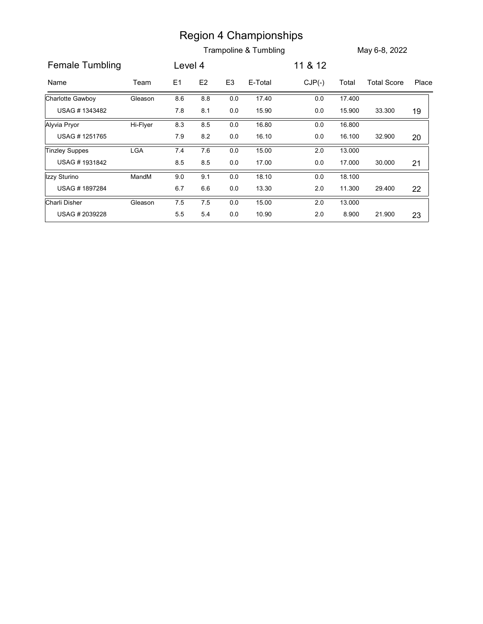|                       |            |         |         |                | <b>Region 4 Championships</b><br>Trampoline & Tumbling |          |        | May 6-8, 2022      |       |
|-----------------------|------------|---------|---------|----------------|--------------------------------------------------------|----------|--------|--------------------|-------|
| Female Tumbling       |            | Level 4 |         |                |                                                        | 11 & 12  |        |                    |       |
| Name                  | Team       | E1      | E2      | E <sub>3</sub> | E-Total                                                | $CJP(-)$ | Total  | <b>Total Score</b> | Place |
| Charlotte Gawboy      | Gleason    | 8.6     | $8.8\,$ | $0.0\,$        | 17.40                                                  | $0.0\,$  |        |                    |       |
|                       |            |         |         |                |                                                        |          | 17.400 |                    |       |
| USAG #1343482         |            | 7.8     | 8.1     | $0.0\,$        | 15.90                                                  | $0.0\,$  | 15.900 | 33.300             | 19    |
| Alyvia Pryor          | Hi-Flyer   | 8.3     | $8.5\,$ | $0.0\,$        | 16.80                                                  | $0.0\,$  | 16.800 |                    |       |
| USAG #1251765         |            | 7.9     | 8.2     | $0.0\,$        | 16.10                                                  | 0.0      | 16.100 | 32.900             | 20    |
| <b>Tinzley Suppes</b> | <b>LGA</b> | 7.4     | 7.6     | 0.0            | 15.00                                                  | $2.0\,$  | 13.000 |                    |       |
| USAG #1931842         |            | 8.5     | 8.5     | 0.0            | 17.00                                                  | $0.0\,$  | 17.000 | 30.000             | 21    |
| Izzy Sturino          | MandM      | 9.0     | 9.1     | $0.0\,$        | 18.10                                                  | $0.0\,$  | 18.100 |                    |       |
| USAG #1897284         |            | 6.7     | 6.6     | $0.0\,$        | 13.30                                                  | $2.0\,$  | 11.300 | 29.400             | 22    |
| Charli Disher         | Gleason    | 7.5     | $7.5\,$ | $0.0\,$        | 15.00                                                  | $2.0\,$  | 13.000 |                    |       |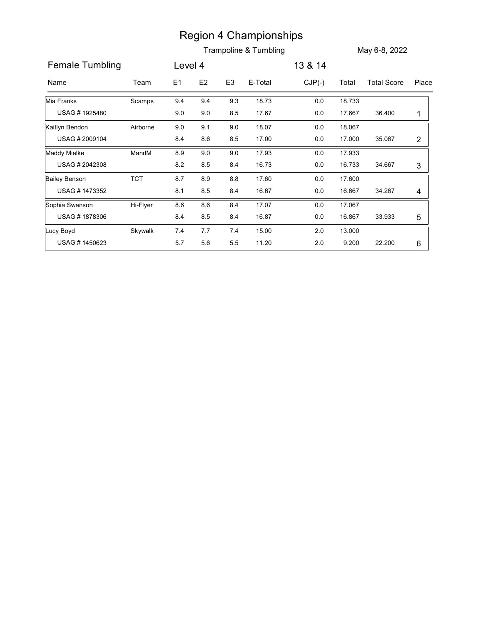|                      |            |         |                |                | <b>Region 4 Championships</b> |          |        |                    |                |
|----------------------|------------|---------|----------------|----------------|-------------------------------|----------|--------|--------------------|----------------|
|                      |            |         |                |                | Trampoline & Tumbling         |          |        | May 6-8, 2022      |                |
| Female Tumbling      |            | Level 4 |                |                |                               | 13 & 14  |        |                    |                |
| Name                 | Team       | E1      | E <sub>2</sub> | E <sub>3</sub> | E-Total                       | $CJP(-)$ | Total  | <b>Total Score</b> | Place          |
| Mia Franks           | Scamps     | 9.4     | 9.4            | 9.3            | 18.73                         | 0.0      | 18.733 |                    |                |
| USAG #1925480        |            | $9.0\,$ | 9.0            | 8.5            | 17.67                         | 0.0      | 17.667 | 36.400             | $\mathbf 1$    |
| Kaitlyn Bendon       | Airborne   | 9.0     | 9.1            | 9.0            | 18.07                         | $0.0\,$  | 18.067 |                    |                |
| USAG #2009104        |            | 8.4     | 8.6            | 8.5            | 17.00                         | $0.0\,$  | 17.000 | 35.067             | $\overline{2}$ |
| Maddy Mielke         | MandM      | 8.9     | $9.0\,$        | 9.0            | 17.93                         | $0.0\,$  | 17.933 |                    |                |
| USAG # 2042308       |            | 8.2     | 8.5            | 8.4            | 16.73                         | 0.0      | 16.733 | 34.667             | 3              |
| <b>Bailey Benson</b> | <b>TCT</b> | 8.7     | 8.9            | 8.8            | 17.60                         | 0.0      | 17.600 |                    |                |
| USAG #1473352        |            | 8.1     | 8.5            | 8.4            | 16.67                         | 0.0      | 16.667 | 34.267             | 4              |
| Sophia Swanson       | Hi-Flyer   | 8.6     | 8.6            | 8.4            | 17.07                         | $0.0\,$  | 17.067 |                    |                |
| USAG #1878306        |            | 8.4     | 8.5            | 8.4            | 16.87                         | $0.0\,$  | 16.867 | 33.933             | 5              |
| Lucy Boyd            | Skywalk    | $7.4$   | $7.7\,$        | $7.4$          | 15.00                         | $2.0\,$  | 13.000 |                    |                |
| USAG #1450623        |            | $5.7\,$ | $5.6\,$        | $5.5\,$        | 11.20                         | $2.0\,$  | 9.200  | 22.200             | $6\phantom{.}$ |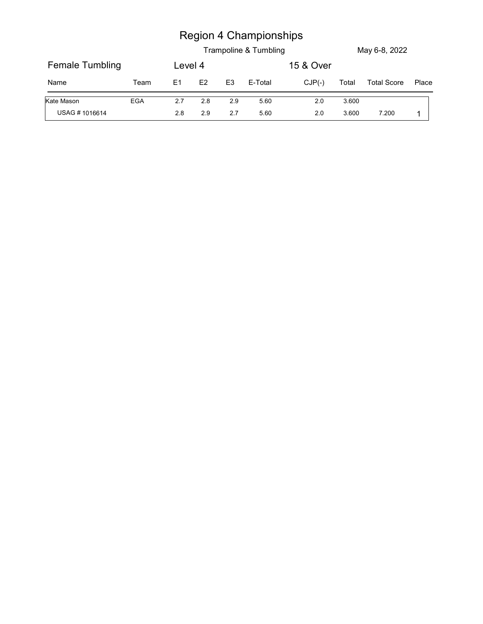|                        |      |                |         |                | <b>Region 4 Championships</b> |           |       |                    |       |
|------------------------|------|----------------|---------|----------------|-------------------------------|-----------|-------|--------------------|-------|
|                        |      |                |         |                | Trampoline & Tumbling         |           |       | May 6-8, 2022      |       |
| <b>Female Tumbling</b> |      | Level 4        |         |                |                               | 15 & Over |       |                    |       |
| Name                   | Team | E <sub>1</sub> | E2      | E <sub>3</sub> | E-Total                       | $CJP(-)$  | Total | <b>Total Score</b> | Place |
| Kate Mason             | EGA  | 2.7            | $2.8\,$ | 2.9            | 5.60                          | $2.0\,$   | 3.600 |                    |       |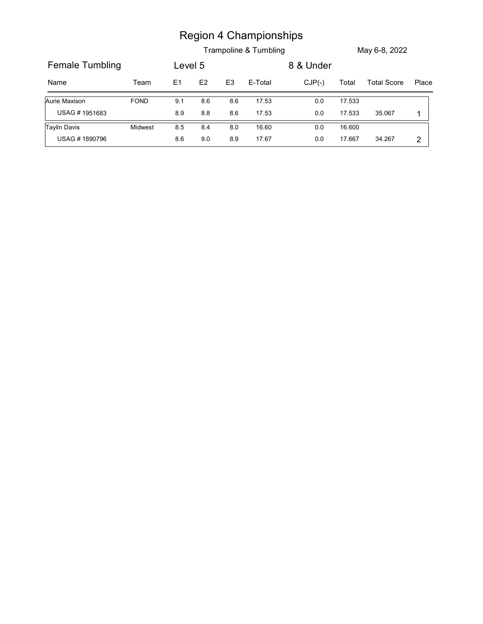| <b>Region 4 Championships</b>                                                                             |  |  |  |  |  |  |
|-----------------------------------------------------------------------------------------------------------|--|--|--|--|--|--|
| Trampoline & Tumbling<br>May 6-8, 2022                                                                    |  |  |  |  |  |  |
| <b>Female Tumbling</b><br>8 & Under<br>Level 5                                                            |  |  |  |  |  |  |
| E2<br>E-Total<br>$CJP(-)$<br>E1<br>E <sub>3</sub><br>Total<br><b>Total Score</b><br>Place<br>Name<br>Team |  |  |  |  |  |  |
| Aurie Maxison<br>FOND<br>17.53<br>17.533<br>9.1<br>8.6<br>8.6<br>$0.0\,$                                  |  |  |  |  |  |  |
| USAG #1951683<br>17.53<br>17.533<br>$8.9\,$<br>$8.8\,$<br>$8.6\,$<br>$0.0\,$<br>35.067<br>$\mathbf{1}$    |  |  |  |  |  |  |
| <b>Taylin Davis</b><br>Midwest<br>8.5<br>8.4<br>16.60<br>16.600<br>8.0<br>$0.0\,$                         |  |  |  |  |  |  |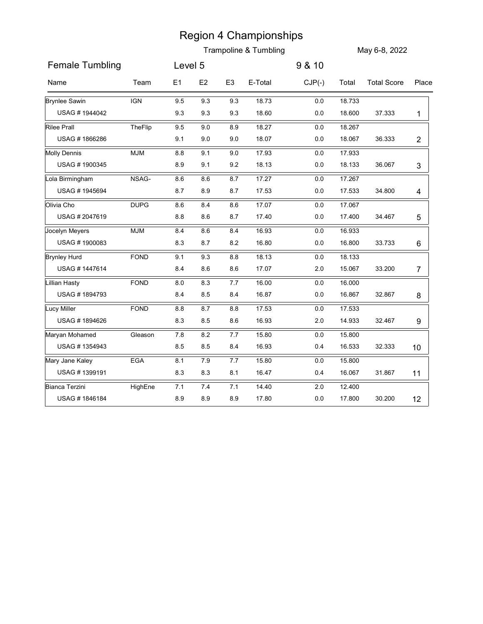|                                  |             |            |                |                | <b>Region 4 Championships</b>    |                |                  |                    |                 |
|----------------------------------|-------------|------------|----------------|----------------|----------------------------------|----------------|------------------|--------------------|-----------------|
|                                  |             |            |                |                | <b>Trampoline &amp; Tumbling</b> |                |                  | May 6-8, 2022      |                 |
| <b>Female Tumbling</b>           |             | Level 5    |                |                |                                  | 9 & 10         |                  |                    |                 |
| Name                             | Team        | E1         | E <sub>2</sub> | E <sub>3</sub> | E-Total                          | $CJP(-)$       | Total            | <b>Total Score</b> | Place           |
| <b>Brynlee Sawin</b>             | <b>IGN</b>  | 9.5        | 9.3            | 9.3            | 18.73                            | $0.0\,$        | 18.733           |                    |                 |
| USAG #1944042                    |             | 9.3        | 9.3            | 9.3            | 18.60                            | $0.0\,$        | 18.600           | 37.333             | $\mathbf{1}$    |
| <b>Rilee Prall</b>               | TheFlip     | 9.5        | 9.0            | 8.9            | 18.27                            | $0.0\,$        | 18.267           |                    |                 |
| USAG #1866286                    |             | 9.1        | 9.0            | 9.0            | 18.07                            | $0.0\,$        | 18.067           | 36.333             | $\overline{c}$  |
| <b>Molly Dennis</b>              | <b>MJM</b>  | 8.8        | 9.1            | 9.0            | 17.93                            | $0.0\,$        | 17.933           |                    |                 |
| USAG #1900345                    |             | 8.9        | 9.1            | 9.2            | 18.13                            | $0.0\,$        | 18.133           | 36.067             | 3               |
| Lola Birmingham<br>USAG #1945694 | NSAG-       | 8.6<br>8.7 | 8.6<br>8.9     | 8.7<br>8.7     | 17.27<br>17.53                   | $0.0\,$<br>0.0 | 17.267<br>17.533 | 34.800             |                 |
| Olivia Cho                       | <b>DUPG</b> | 8.6        | 8.4            | 8.6            | 17.07                            | $0.0\,$        | 17.067           |                    | 4               |
| USAG #2047619                    |             | $8.8\,$    | $\bf 8.6$      | 8.7            | 17.40                            | $0.0\,$        | 17.400           | 34.467             | 5               |
| Jocelyn Meyers                   | <b>MJM</b>  | $\bf 8.4$  | $8.6\,$        | 8.4            | 16.93                            | $0.0\,$        | 16.933           |                    |                 |
| USAG #1900083                    |             | 8.3        | $8.7\,$        | 8.2            | 16.80                            | $0.0\,$        | 16.800           | 33.733             | 6               |
| <b>Brynley Hurd</b>              | FOND        | 9.1        | 9.3            | $8.8\,$        | 18.13                            | $0.0\,$        | 18.133           |                    |                 |
| USAG #1447614                    |             | 8.4        | 8.6            | 8.6            | 17.07                            | 2.0            | 15.067           | 33.200             | 7               |
| <b>Lillian Hasty</b>             | FOND        | $8.0\,$    | $8.3\,$        | 7.7            | 16.00                            | $0.0\,$        | 16.000           |                    |                 |
| USAG #1894793                    |             | 8.4        | 8.5            | 8.4            | 16.87                            | 0.0            | 16.867           | 32.867             | 8               |
| Lucy Miller                      | FOND        | $8.8\,$    | $8.7\,$        | 8.8            | 17.53                            | 0.0            | 17.533           |                    |                 |
| USAG #1894626                    |             | 8.3        | 8.5            | 8.6            | 16.93                            | $2.0\,$        | 14.933           | 32.467             | 9               |
| Maryan Mohamed                   | Gleason     | 7.8        | 8.2            | $7.7$          | 15.80                            | $0.0\,$        | 15.800           |                    |                 |
| USAG #1354943                    |             | 8.5        | 8.5            | 8.4            | 16.93                            | 0.4            | 16.533           | 32.333             | 10 <sup>°</sup> |
| Mary Jane Kaley                  | EGA         | 8.1        | 7.9            | 7.7            | 15.80                            | 0.0            | 15.800           |                    |                 |
| USAG #1399191                    |             | 8.3        | 8.3            | 8.1            | 16.47                            | 0.4            | 16.067           | 31.867             | 11              |
| <b>Bianca Terzini</b>            | HighEne     | 7.1        | $7.4$          | 7.1            | 14.40                            | $2.0\,$        | 12.400           |                    |                 |
| USAG #1846184                    |             | 8.9        | 8.9            | 8.9            | 17.80                            | $0.0\,$        | 17.800           | 30.200             | 12              |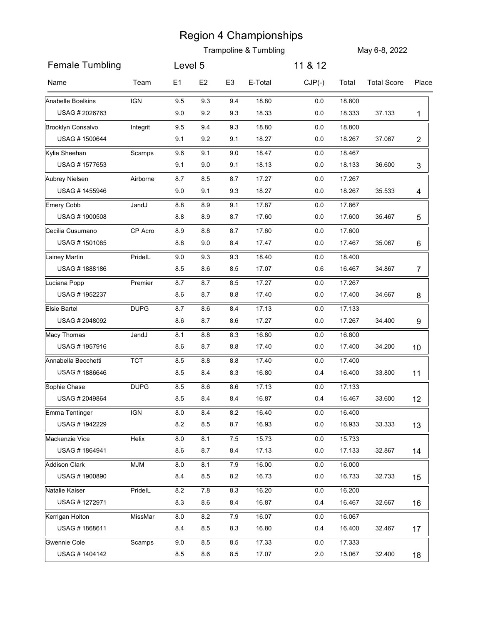|                                |             |            |            |                | <b>Trampoline &amp; Tumbling</b> |            |                  | May 6-8, 2022      |                 |
|--------------------------------|-------------|------------|------------|----------------|----------------------------------|------------|------------------|--------------------|-----------------|
| <b>Female Tumbling</b>         |             | Level 5    |            |                |                                  | 11 & 12    |                  |                    |                 |
|                                |             |            |            |                |                                  |            |                  |                    |                 |
| Name                           | Team        | E1         | E2         | E <sub>3</sub> | E-Total                          | $CJP(-)$   | Total            | <b>Total Score</b> | Place           |
| Anabelle Boelkins              | <b>IGN</b>  | 9.5        | 9.3        | 9.4            | 18.80                            | 0.0        | 18.800           |                    |                 |
| USAG # 2026763                 |             | 9.0        | 9.2        | 9.3            | 18.33                            | 0.0        | 18.333           | 37.133             | 1               |
| <b>Brooklyn Consalvo</b>       | Integrit    | 9.5        | 9.4        | 9.3            | 18.80                            | 0.0        | 18.800           |                    |                 |
| USAG #1500644                  |             | 9.1        | 9.2        | 9.1            | 18.27                            | 0.0        | 18.267           | 37.067             | $\overline{2}$  |
| Kylie Sheehan<br>USAG #1577653 | Scamps      | 9.6<br>9.1 | 9.1<br>9.0 | 9.0<br>9.1     | 18.47<br>18.13                   | 0.0<br>0.0 | 18.467<br>18.133 | 36.600             | 3               |
| Aubrey Nielsen                 | Airborne    | 8.7        | 8.5        | 8.7            | 17.27                            | 0.0        | 17.267           |                    |                 |
| USAG #1455946                  |             | 9.0        | 9.1        | 9.3            | 18.27                            | 0.0        | 18.267           | 35.533             | 4               |
| <b>Emery Cobb</b>              | JandJ       | 8.8        | 8.9        | 9.1            | 17.87                            | $0.0\,$    | 17.867           |                    |                 |
| USAG #1900508                  |             | 8.8        | $8.9\,$    | 8.7            | 17.60                            | $0.0\,$    | 17.600           | 35.467             | 5               |
| Cecilia Cusumano               | CP Acro     | 8.9        | 8.8        | 8.7            | 17.60                            | 0.0        | 17.600           |                    |                 |
| USAG #1501085                  |             | $8.8\,$    | 9.0        | 8.4            | 17.47                            | 0.0        | 17.467           | 35.067             | 6               |
| Lainey Martin                  | PridelL     | $9.0\,$    | 9.3        | 9.3            | 18.40                            | $0.0\,$    | 18.400           |                    |                 |
| USAG #1888186                  |             | 8.5        | 8.6        | 8.5            | 17.07                            | 0.6        | 16.467           | 34.867             | 7               |
| Luciana Popp                   | Premier     | 8.7        | 8.7        | 8.5            | 17.27                            | 0.0        | 17.267           |                    |                 |
| USAG #1952237                  |             | 8.6        | 8.7        | 8.8            | 17.40                            | 0.0        | 17.400           | 34.667             | 8               |
| <b>Elsie Bartel</b>            | <b>DUPG</b> | 8.7        | 8.6        | 8.4            | 17.13                            | 0.0        | 17.133           |                    |                 |
| USAG # 2048092                 |             | 8.6        | 8.7        | 8.6            | 17.27                            | $0.0\,$    | 17.267           | 34.400             | 9               |
| Macy Thomas                    | JandJ       | 8.1        | 8.8        | 8.3            | 16.80                            | 0.0        | 16.800           |                    |                 |
| USAG #1957916                  |             | 8.6        | 8.7        | 8.8            | 17.40                            | 0.0        | 17.400           | 34.200             | 10 <sup>°</sup> |
| Annabella Becchetti            | <b>TCT</b>  | 8.5        | 8.8        | 8.8            | 17.40                            | 0.0        | 17.400           |                    |                 |
| USAG #1886646                  |             | 8.5        | 8.4        | 8.3            | 16.80                            | 0.4        | 16.400           | 33.800             | 11              |
| Sophie Chase                   | <b>DUPG</b> | 8.5        | 8.6        | 8.6            | 17.13                            | $0.0\,$    | 17.133           |                    |                 |
| USAG # 2049864                 |             | 8.5        | 8.4        | 8.4            | 16.87                            | 0.4        | 16.467           | 33.600             | 12              |
| Emma Tentinger                 | <b>IGN</b>  | 8.0        | 8.4        | 8.2            | 16.40                            | 0.0        | 16.400           |                    |                 |
| USAG #1942229                  |             | 8.2        | 8.5        | 8.7            | 16.93                            | $0.0\,$    | 16.933           | 33.333             | 13              |
| Mackenzie Vice                 | Helix       | 8.0        | 8.1        | 7.5            | 15.73                            | 0.0        | 15.733           |                    |                 |
| USAG #1864941                  |             | 8.6        | 8.7        | 8.4            | 17.13                            | $0.0\,$    | 17.133           | 32.867             | 14              |
| Addison Clark                  | <b>MJM</b>  | 8.0        | 8.1        | 7.9            | 16.00                            | 0.0        | 16.000           |                    |                 |
| USAG #1900890                  |             | 8.4        | 8.5        | 8.2            | 16.73                            | 0.0        | 16.733           | 32.733             | 15              |
| Natalie Kaiser                 | PridelL     | $8.2\,$    | 7.8        | 8.3            | 16.20                            | 0.0        | 16.200           |                    |                 |
| USAG #1272971                  |             | $8.3\,$    | 8.6        | 8.4            | 16.87                            | 0.4        | 16.467           | 32.667             | 16              |
| Kerrigan Holton                | MissMar     | 8.0        | 8.2        | 7.9            | 16.07                            | 0.0        | 16.067           |                    |                 |
| USAG #1868611                  |             | 8.4        | 8.5        | 8.3            | 16.80                            | 0.4        | 16.400           | 32.467             | 17              |
| Gwennie Cole                   | Scamps      | $9.0\,$    | 8.5        | 8.5            | 17.33                            | 0.0        | 17.333           |                    |                 |
| USAG #1404142                  |             | 8.5        | 8.6        | 8.5            | 17.07                            | 2.0        | 15.067           | 32.400             | 18              |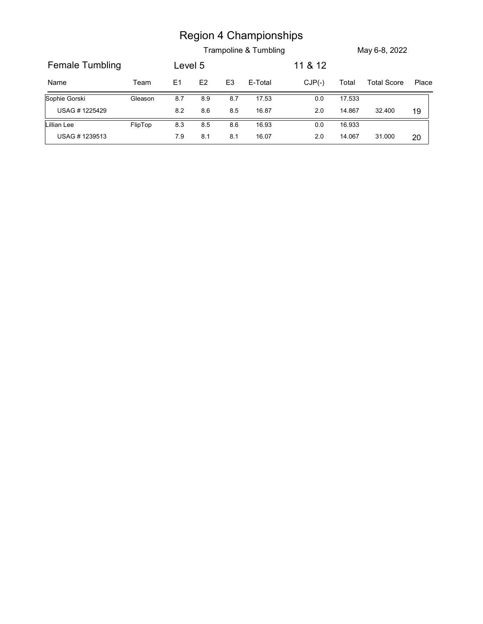|                 |         |         |               |                | <b>Region 4 Championships</b><br>Trampoline & Tumbling |          |        | May 6-8, 2022      |       |
|-----------------|---------|---------|---------------|----------------|--------------------------------------------------------|----------|--------|--------------------|-------|
| Female Tumbling |         | Level 5 |               |                |                                                        | 11 & 12  |        |                    |       |
| Name            | Team    | E1      | $\mathsf{E}2$ | E <sub>3</sub> | E-Total                                                | $CJP(-)$ | Total  | <b>Total Score</b> | Place |
| Sophie Gorski   | Gleason | 8.7     | 8.9           | $8.7\,$        | 17.53                                                  | $0.0\,$  | 17.533 |                    |       |
| USAG #1225429   |         | 8.2     | 8.6           | $8.5\,$        | 16.87                                                  | $2.0\,$  | 14.867 | 32.400             | 19    |
| Lillian Lee     | FlipTop | 8.3     | 8.5           | $8.6\,$        | 16.93                                                  | $0.0\,$  | 16.933 |                    |       |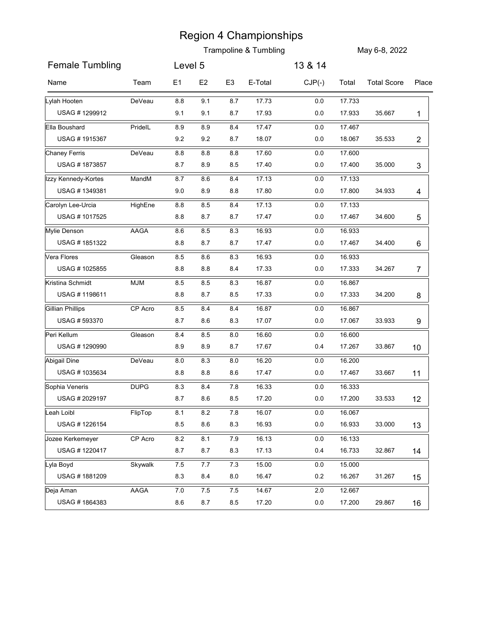|                                    |             |                |                |                | <b>Region 4 Championships</b>    |                    |                  |                    |                 |
|------------------------------------|-------------|----------------|----------------|----------------|----------------------------------|--------------------|------------------|--------------------|-----------------|
|                                    |             |                |                |                | <b>Trampoline &amp; Tumbling</b> |                    |                  | May 6-8, 2022      |                 |
| <b>Female Tumbling</b>             |             | Level 5        |                |                |                                  | 13 & 14            |                  |                    |                 |
| Name                               | Team        | E1             | E <sub>2</sub> | E <sub>3</sub> | E-Total                          | $CJP(-)$           | Total            | <b>Total Score</b> | Place           |
| Lylah Hooten                       | DeVeau      | 8.8            | 9.1            | 8.7            | 17.73                            | $0.0\,$            | 17.733           |                    |                 |
| USAG #1299912                      |             | 9.1            | 9.1            | 8.7            | 17.93                            | $0.0\,$            | 17.933           | 35.667             | 1               |
| Ella Boushard                      | PridelL     | 8.9            | 8.9            | 8.4            | 17.47                            | $0.0\,$            | 17.467           |                    |                 |
| USAG #1915367                      |             | 9.2            | 9.2            | 8.7            | 18.07                            | $0.0\,$            | 18.067           | 35.533             | $\overline{c}$  |
| <b>Chaney Ferris</b>               | DeVeau      | 8.8            | 8.8            | 8.8            | 17.60                            | 0.0                | 17.600           |                    |                 |
| USAG #1873857                      |             | 8.7            | 8.9            | 8.5            | 17.40                            | $0.0\,$            | 17.400           | 35.000             | 3               |
| Izzy Kennedy-Kortes                | MandM       | 8.7            | 8.6            | 8.4            | 17.13                            | $0.0\,$            | 17.133           |                    |                 |
| USAG #1349381                      |             | 9.0            | 8.9            | 8.8            | 17.80                            | 0.0                | 17.800           | 34.933             | 4               |
| Carolyn Lee-Urcia<br>USAG #1017525 | HighEne     | 8.8<br>$8.8\,$ | 8.5<br>8.7     | 8.4<br>$8.7\,$ | 17.13<br>17.47                   | $0.0\,$<br>$0.0\,$ | 17.133<br>17.467 |                    |                 |
| Mylie Denson                       | AAGA        | $8.6\,$        | $8.5\,$        | 8.3            | 16.93                            | 0.0                | 16.933           | 34.600             | 5               |
| USAG #1851322                      |             | $8.8\,$        | 8.7            | 8.7            | 17.47                            | 0.0                | 17.467           | 34.400             | 6               |
| Vera Flores                        | Gleason     | 8.5            | 8.6            | 8.3            | 16.93                            | 0.0                | 16.933           |                    |                 |
| USAG #1025855                      |             | 8.8            | 8.8            | 8.4            | 17.33                            | $0.0\,$            | 17.333           | 34.267             | $\overline{7}$  |
| Kristina Schmidt                   | <b>MJM</b>  | 8.5            | 8.5            | 8.3            | 16.87                            | 0.0                | 16.867           |                    |                 |
| USAG #1198611                      |             | 8.8            | 8.7            | 8.5            | 17.33                            | 0.0                | 17.333           | 34.200             | 8               |
| <b>Gillian Phillips</b>            | CP Acro     | 8.5            | 8.4            | 8.4            | 16.87                            | 0.0                | 16.867           |                    |                 |
| USAG #593370                       |             | 8.7            | 8.6            | 8.3            | 17.07                            | $0.0\,$            | 17.067           | 33.933             | 9               |
| Peri Kellum                        | Gleason     | 8.4            | 8.5            | 8.0            | 16.60                            | 0.0                | 16.600           |                    |                 |
| USAG #1290990                      |             | 8.9            | 8.9            | 8.7            | 17.67                            | 0.4                | 17.267           | 33.867             | 10 <sup>°</sup> |
| <b>Abigail Dine</b>                | DeVeau      | $8.0\,$        | 8.3            | 8.0            | 16.20                            | 0.0                | 16.200           |                    |                 |
| USAG #1035634                      |             | 8.8            | 8.8            | 8.6            | 17.47                            | $0.0\,$            | 17.467           | 33.667             | 11              |
| Sophia Veneris                     | <b>DUPG</b> | 8.3            | 8.4            | 7.8            | 16.33                            | 0.0                | 16.333           |                    |                 |
| USAG # 2029197                     |             | 8.7            | 8.6            | 8.5            | 17.20                            | 0.0                | 17.200           | 33.533             | 12              |
| Leah Loibl                         | FlipTop     | 8.1            | 8.2            | 7.8            | 16.07                            | 0.0                | 16.067           |                    |                 |
| USAG #1226154                      |             | 8.5            | 8.6            | 8.3            | 16.93                            | 0.0                | 16.933           | 33.000             | 13              |
| Jozee Kerkemeyer                   | CP Acro     | $8.2\,$        | 8.1            | 7.9            | 16.13                            | 0.0                | 16.133           |                    |                 |
| USAG #1220417                      |             | 8.7            | 8.7            | 8.3            | 17.13                            | 0.4                | 16.733           | 32.867             | 14              |
| Lyla Boyd                          | Skywalk     | 7.5            | 7.7            | 7.3            | 15.00                            | 0.0                | 15.000           |                    |                 |
| USAG #1881209                      |             | 8.3            | 8.4            | 8.0            | 16.47                            | 0.2                | 16.267           | 31.267             | 15              |
| Deja Aman<br>USAG #1864383         | AAGA        | $7.0$<br>8.6   | 7.5<br>8.7     | 7.5<br>8.5     | 14.67<br>17.20                   | 2.0<br>0.0         | 12.667<br>17.200 | 29.867             | 16              |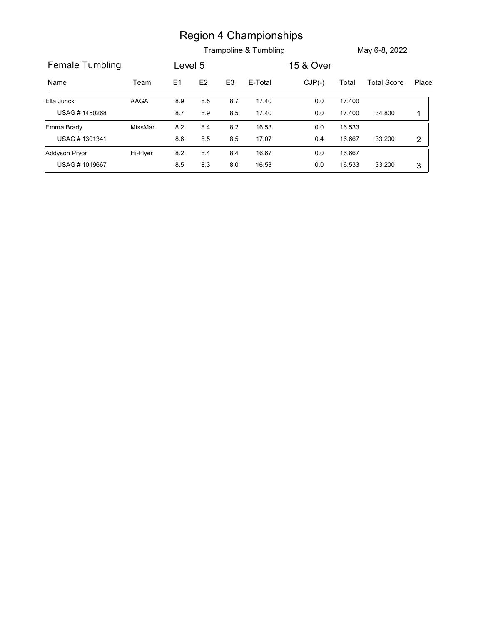|                                       |          |         |           |                | <b>Region 4 Championships</b> |           |        |                    |                |
|---------------------------------------|----------|---------|-----------|----------------|-------------------------------|-----------|--------|--------------------|----------------|
|                                       |          |         |           |                | Trampoline & Tumbling         |           |        | May 6-8, 2022      |                |
| <b>Female Tumbling</b>                |          | Level 5 |           |                |                               | 15 & Over |        |                    |                |
| Name                                  | Team     | E1      | E2        | E <sub>3</sub> | E-Total                       | $CJP(-)$  | Total  | <b>Total Score</b> | Place          |
| Ella Junck                            | AAGA     | 8.9     | 8.5       | 8.7            | 17.40                         | $0.0\,$   | 17.400 |                    |                |
| USAG #1450268                         |          | 8.7     | $8.9\,$   | $8.5\,$        | 17.40                         | $0.0\,$   | 17.400 | 34.800             | 1              |
| Emma Brady                            | MissMar  | $8.2\,$ | $8.4\,$   | $8.2\,$        | 16.53                         | $0.0\,$   | 16.533 |                    |                |
| USAG #1301341                         |          | $8.6\,$ | $\bf 8.5$ | 8.5            | 17.07                         | 0.4       | 16.667 | 33.200             | $\overline{2}$ |
| <b>Addyson Pryor</b><br>USAG #1019667 | Hi-Flyer | 8.2     | 8.4       | 8.4            | 16.67                         | $0.0\,$   | 16.667 |                    |                |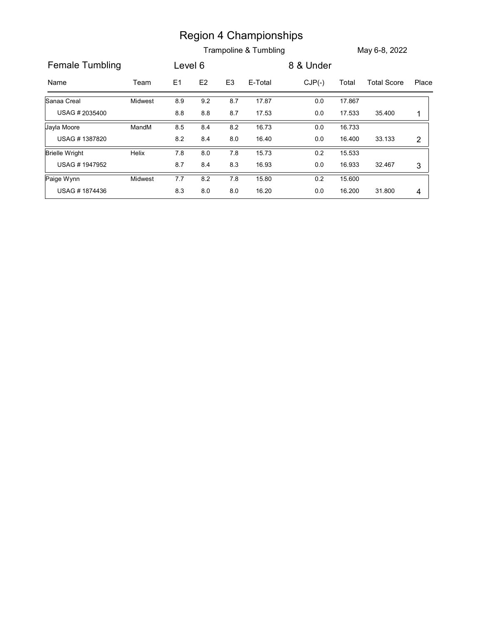|                        |         |         |               |                | <b>Region 4 Championships</b> |           |        |                    |                |
|------------------------|---------|---------|---------------|----------------|-------------------------------|-----------|--------|--------------------|----------------|
|                        |         |         |               |                | Trampoline & Tumbling         |           |        | May 6-8, 2022      |                |
| <b>Female Tumbling</b> |         | Level 6 |               |                |                               | 8 & Under |        |                    |                |
| Name                   | Team    | E1      | $\mathsf{E2}$ | E <sub>3</sub> | E-Total                       | $CJP(-)$  | Total  | <b>Total Score</b> | Place          |
| Sanaa Creal            | Midwest | 8.9     | 9.2           | 8.7            | 17.87                         | $0.0\,$   | 17.867 |                    |                |
| USAG #2035400          |         | $8.8\,$ | $\bf 8.8$     | 8.7            | 17.53                         | $0.0\,$   | 17.533 | 35.400             | $\mathbf 1$    |
|                        |         |         | 8.4           | 8.2            | 16.73                         | $0.0\,$   | 16.733 |                    |                |
| Jayla Moore            | MandM   | 8.5     |               |                |                               |           |        | 33.133             | $\overline{2}$ |
| USAG #1387820          |         | $8.2\,$ | 8.4           | 8.0            | 16.40                         | $0.0\,$   | 16.400 |                    |                |
| <b>Brielle Wright</b>  | Helix   | 7.8     | $8.0\,$       | 7.8            | 15.73                         | $0.2\,$   | 15.533 |                    |                |
| USAG #1947952          |         | 8.7     | 8.4           | 8.3            | 16.93                         | $0.0\,$   | 16.933 | 32.467             | $\mathbf{3}$   |
| Paige Wynn             | Midwest | $7.7$   | $8.2\,$       | 7.8            | 15.80                         | $0.2\,$   | 15.600 |                    |                |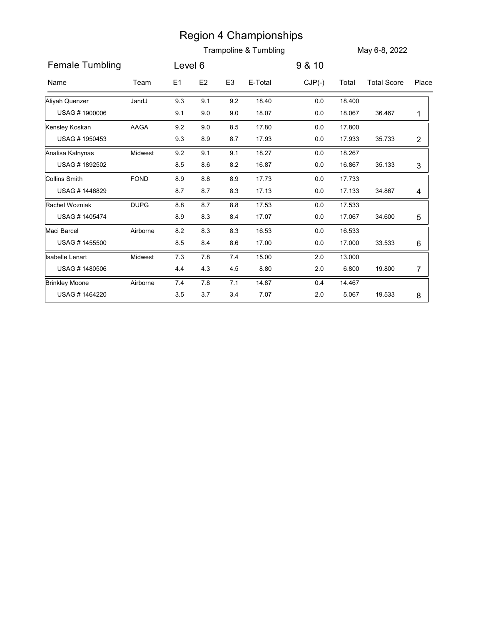|                        |             |           |                |                | <b>Region 4 Championships</b><br>Trampoline & Tumbling |          |        | May 6-8, 2022      |                |
|------------------------|-------------|-----------|----------------|----------------|--------------------------------------------------------|----------|--------|--------------------|----------------|
| <b>Female Tumbling</b> |             | Level 6   |                |                |                                                        | 9 & 10   |        |                    |                |
| Name                   | Team        | E1        | E <sub>2</sub> | E <sub>3</sub> | E-Total                                                | $CJP(-)$ | Total  | <b>Total Score</b> | Place          |
| Aliyah Quenzer         | JandJ       | 9.3       | 9.1            | 9.2            | 18.40                                                  | 0.0      | 18.400 |                    |                |
| USAG #1900006          |             | 9.1       | 9.0            | 9.0            | 18.07                                                  | 0.0      | 18.067 | 36.467             | 1              |
| Kensley Koskan         | AAGA        | 9.2       | 9.0            | 8.5            | 17.80                                                  | $0.0\,$  | 17.800 |                    |                |
| USAG #1950453          |             | 9.3       | 8.9            | 8.7            | 17.93                                                  | 0.0      | 17.933 | 35.733             | $\overline{2}$ |
| Analisa Kalnynas       | Midwest     | 9.2       | 9.1            | 9.1            | 18.27                                                  | 0.0      | 18.267 |                    |                |
| USAG #1892502          |             | 8.5       | 8.6            | 8.2            | 16.87                                                  | 0.0      | 16.867 | 35.133             | 3              |
| Collins Smith          | <b>FOND</b> | 8.9       | 8.8            | 8.9            | 17.73                                                  | 0.0      | 17.733 |                    |                |
| USAG #1446829          |             | 8.7       | 8.7            | 8.3            | 17.13                                                  | 0.0      | 17.133 | 34.867             | 4              |
| Rachel Wozniak         | <b>DUPG</b> | $8.8\,$   | 8.7            | $8.8\,$        | 17.53                                                  | $0.0\,$  | 17.533 |                    |                |
| USAG #1405474          |             | 8.9       | $\bf 8.3$      | $\bf 8.4$      | 17.07                                                  | $0.0\,$  | 17.067 | 34.600             | 5              |
| Maci Barcel            | Airborne    | $\bf 8.2$ | $8.3\,$        | 8.3            | 16.53                                                  | $0.0\,$  | 16.533 |                    |                |
| USAG #1455500          |             | 8.5       | 8.4            | 8.6            | 17.00                                                  | $0.0\,$  | 17.000 | 33.533             | 6              |
| <b>Isabelle Lenart</b> | Midwest     | 7.3       | $7.8$          | 7.4            | 15.00                                                  | $2.0\,$  | 13.000 |                    |                |
| USAG #1480506          |             | 4.4       | 4.3            | 4.5            | 8.80                                                   | 2.0      | 6.800  | 19.800             | $\overline{7}$ |
|                        |             |           |                |                |                                                        |          |        |                    |                |
| <b>Brinkley Moone</b>  | Airborne    | 7.4       | $7.8$          | 7.1            | 14.87                                                  | 0.4      | 14.467 |                    |                |
| USAG #1464220          |             | 3.5       | 3.7            | 3.4            | 7.07                                                   | 2.0      | 5.067  | 19.533             | 8              |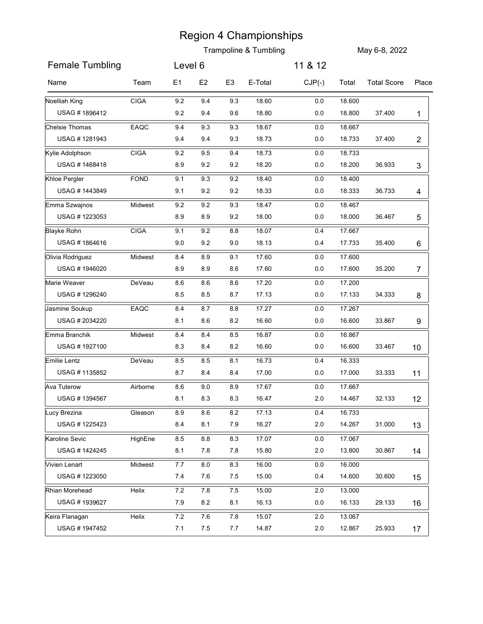|                                  |             |                |            |                | <b>Region 4 Championships</b><br><b>Trampoline &amp; Tumbling</b> |            |                  | May 6-8, 2022      |                 |
|----------------------------------|-------------|----------------|------------|----------------|-------------------------------------------------------------------|------------|------------------|--------------------|-----------------|
| <b>Female Tumbling</b>           |             | Level 6        |            |                |                                                                   | 11 & 12    |                  |                    |                 |
| Name                             | Team        | E <sub>1</sub> | E2         | E <sub>3</sub> | E-Total                                                           | $CJP(-)$   | Total            | <b>Total Score</b> | Place           |
|                                  | <b>CIGA</b> |                |            | 9.3            | 18.60                                                             | 0.0        | 18.600           |                    |                 |
| Noelliah King<br>USAG #1896412   |             | 9.2<br>9.2     | 9.4<br>9.4 | 9.6            | 18.80                                                             | 0.0        | 18.800           | 37.400             | 1               |
| Chelsie Thomas                   | EAQC        | 9.4            | 9.3        | 9.3            | 18.67                                                             | 0.0        | 18.667           |                    |                 |
| USAG #1281943                    |             | 9.4            | 9.4        | 9.3            | 18.73                                                             | 0.0        | 18.733           | 37.400             | $\overline{2}$  |
| Kylie Adolphson                  | <b>CIGA</b> | 9.2            | 9.5        | 9.4            | 18.73                                                             | 0.0        | 18.733           |                    |                 |
| USAG #1468418                    |             | 8.9            | 9.2        | 9.2            | 18.20                                                             | 0.0        | 18.200           | 36.933             | 3               |
| Khloe Pergler                    | <b>FOND</b> | 9.1            | 9.3        | 9.2            | 18.40                                                             | 0.0        | 18.400           |                    |                 |
| USAG #1443849                    |             | 9.1            | 9.2        | 9.2            | 18.33                                                             | 0.0        | 18.333           | 36.733             | 4               |
| Emma Szwajnos                    | Midwest     | 9.2            | 9.2        | 9.3            | 18.47                                                             | $0.0\,$    | 18.467           |                    |                 |
| USAG #1223053                    |             | $8.9\,$        | $8.9\,$    | $9.2\,$        | 18.00                                                             | $0.0\,$    | 18.000           | 36.467             | 5               |
| <b>Blayke Rohn</b>               | <b>CIGA</b> | 9.1            | 9.2        | 8.8            | 18.07                                                             | 0.4        | 17.667           |                    |                 |
| USAG #1864616                    |             | $9.0\,$        | 9.2        | 9.0            | 18.13                                                             | 0.4        | 17.733           | 35.400             | 6               |
| Olivia Rodriguez                 | Midwest     | 8.4            | 8.9        | 9.1            | 17.60                                                             | 0.0        | 17.600           |                    |                 |
| USAG #1946020                    |             | 8.9            | 8.9        | 8.6            | 17.60                                                             | 0.0        | 17.600           | 35.200             | $\overline{7}$  |
| Marie Weaver<br>USAG #1296240    | DeVeau      | 8.6            | 8.6        | 8.6            | 17.20<br>17.13                                                    | 0.0        | 17.200<br>17.133 | 34.333             |                 |
|                                  |             | 8.5            | 8.5        | 8.7            |                                                                   | 0.0        |                  |                    | 8               |
| Jasmine Soukup<br>USAG # 2034220 | EAQC        | 8.4<br>8.1     | 8.7<br>8.6 | 8.8<br>8.2     | 17.27<br>16.60                                                    | 0.0<br>0.0 | 17.267<br>16.600 | 33.867             | 9               |
| Emma Branchik                    | Midwest     | 8.4            | 8.4        | 8.5            | 16.87                                                             | 0.0        | 16.867           |                    |                 |
| USAG #1927100                    |             | 8.3            | 8.4        | 8.2            | 16.60                                                             | 0.0        | 16.600           | 33.467             | 10 <sup>°</sup> |
| Emilie Lentz                     | DeVeau      | 8.5            | 8.5        | 8.1            | 16.73                                                             | 0.4        | 16.333           |                    |                 |
| USAG #1135852                    |             | 8.7            | 8.4        | 8.4            | 17.00                                                             | 0.0        | 17.000           | 33.333             | 11              |
| Ava Tuterow                      | Airborne    | 8.6            | 9.0        | 8.9            | 17.67                                                             | 0.0        | 17.667           |                    |                 |
| USAG #1394567                    |             | 8.1            | 8.3        | 8.3            | 16.47                                                             | 2.0        | 14.467           | 32.133             | 12              |
| Lucy Brezina                     | Gleason     | 8.9            | 8.6        | 8.2            | 17.13                                                             | 0.4        | 16.733           |                    |                 |
| USAG #1225423                    |             | 8.4            | 8.1        | 7.9            | 16.27                                                             | 2.0        | 14.267           | 31.000             | 13              |
| Karoline Sevic                   | HighEne     | 8.5            | 8.8        | 8.3            | 17.07                                                             | 0.0        | 17.067           |                    |                 |
| USAG #1424245                    |             | 8.1            | 7.8        | 7.8            | 15.80                                                             | 2.0        | 13.800           | 30.867             | 14              |
| Vivien Lenart                    | Midwest     | 7.7            | 8.0        | 8.3            | 16.00                                                             | 0.0        | 16.000           |                    |                 |
| USAG #1223050                    |             | 7.4            | 7.6        | 7.5            | 15.00                                                             | 0.4        | 14.600           | 30.600             | 15              |
| Rhian Morehead                   | Helix       | $7.2\,$        | 7.8        | 7.5            | 15.00                                                             | 2.0        | 13.000           |                    |                 |
| USAG #1939627                    |             | 7.9            | 8.2        | 8.1            | 16.13                                                             | 0.0        | 16.133           | 29.133             | 16              |
| Keira Flanagan                   | Helix       | 7.2            | 7.6        | 7.8            | 15.07                                                             | 2.0        | 13.067           |                    |                 |
| USAG #1947452                    |             | 7.1            | 7.5        | 7.7            | 14.87                                                             | 2.0        | 12.867           | 25.933             | 17              |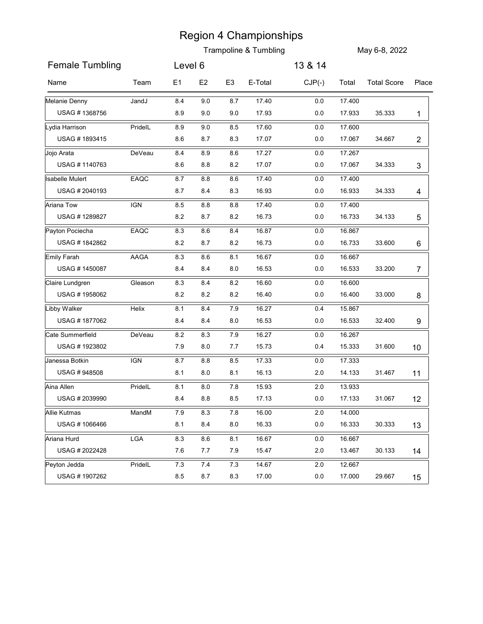|                                 |            |            |                |                | <b>Region 4 Championships</b><br><b>Trampoline &amp; Tumbling</b> |                    |                  | May 6-8, 2022      |                 |
|---------------------------------|------------|------------|----------------|----------------|-------------------------------------------------------------------|--------------------|------------------|--------------------|-----------------|
| <b>Female Tumbling</b>          |            | Level 6    |                |                |                                                                   | 13 & 14            |                  |                    |                 |
| Name                            | Team       | E1         | E <sub>2</sub> | E <sub>3</sub> | E-Total                                                           | $CJP(-)$           | Total            | <b>Total Score</b> | Place           |
| Melanie Denny                   | JandJ      | 8.4        | 9.0            | 8.7            | 17.40                                                             | $0.0\,$            | 17.400           |                    |                 |
| USAG #1368756                   |            | 8.9        | 9.0            | 9.0            | 17.93                                                             | $0.0\,$            | 17.933           | 35.333             | 1               |
| Lydia Harrison<br>USAG #1893415 | PridelL    | 8.9<br>8.6 | 9.0<br>8.7     | 8.5<br>8.3     | 17.60<br>17.07                                                    | $0.0\,$<br>$0.0\,$ | 17.600<br>17.067 | 34.667             | $\overline{c}$  |
| Jojo Arata                      | DeVeau     | 8.4        | 8.9            | 8.6            | 17.27                                                             | $0.0\,$            | 17.267           |                    |                 |
| USAG #1140763                   |            | 8.6        | 8.8            | 8.2            | 17.07                                                             | $0.0\,$            | 17.067           | 34.333             | 3               |
| <b>Isabelle Mulert</b>          | EAQC       | 8.7        | 8.8            | 8.6            | 17.40                                                             | 0.0                | 17.400           |                    |                 |
| USAG #2040193                   |            | 8.7        | 8.4            | 8.3            | 16.93                                                             | 0.0                | 16.933           | 34.333             | 4               |
| Ariana Tow                      | <b>IGN</b> | 8.5        | 8.8            | 8.8            | 17.40                                                             | $0.0\,$            | 17.400           |                    |                 |
| USAG #1289827                   |            | $8.2\,$    | 8.7            | $\bf 8.2$      | 16.73                                                             | $0.0\,$            | 16.733           | 34.133             | 5               |
| Payton Pociecha                 | EAQC       | 8.3        | $8.6\,$        | 8.4            | 16.87                                                             | $0.0\,$            | 16.867           |                    |                 |
| USAG #1842862                   |            | 8.2        | 8.7            | $8.2\,$        | 16.73                                                             | 0.0                | 16.733           | 33.600             | 6               |
| Emily Farah                     | AAGA       | $8.3\,$    | 8.6            | 8.1            | 16.67                                                             | 0.0                | 16.667           |                    |                 |
| USAG #1450087                   |            | 8.4        | 8.4            | 8.0            | 16.53                                                             | $0.0\,$            | 16.533           | 33.200             | 7               |
| Claire Lundgren                 | Gleason    | 8.3        | 8.4            | 8.2            | 16.60                                                             | 0.0                | 16.600           |                    |                 |
| USAG #1958062                   |            | 8.2        | 8.2            | $8.2\,$        | 16.40                                                             | 0.0                | 16.400           | 33.000             | 8               |
| Libby Walker                    | Helix      | 8.1        | 8.4            | 7.9            | 16.27                                                             | 0.4                | 15.867           |                    |                 |
| USAG #1877062                   |            | 8.4        | 8.4            | 8.0            | 16.53                                                             | $0.0\,$            | 16.533           | 32.400             | 9               |
| Cate Summerfield                | DeVeau     | 8.2        | $8.3\,$        | 7.9            | 16.27                                                             | $0.0\,$            | 16.267           |                    |                 |
| USAG #1923802                   |            | 7.9        | 8.0            | 7.7            | 15.73                                                             | 0.4                | 15.333           | 31.600             | 10 <sup>°</sup> |
| Janessa Botkin                  | <b>IGN</b> | 8.7        | 8.8            | 8.5            | 17.33                                                             | 0.0                | 17.333           |                    |                 |
| USAG #948508                    |            | 8.1        | 8.0            | 8.1            | 16.13                                                             | 2.0                | 14.133           | 31.467             | 11              |
| Aina Allen                      | PridelL    | 8.1        | $8.0\,$        | 7.8            | 15.93                                                             | 2.0                | 13.933           |                    |                 |
| USAG # 2039990                  |            | 8.4        | 8.8            | 8.5            | 17.13                                                             | 0.0                | 17.133           | 31.067             | 12              |
| <b>Allie Kutmas</b>             | MandM      | 7.9        | 8.3            | 7.8            | 16.00                                                             | 2.0                | 14.000           |                    |                 |
| USAG #1066466                   |            | 8.1        | 8.4            | 8.0            | 16.33                                                             | $0.0\,$            | 16.333           | 30.333             | 13              |
| Ariana Hurd                     | LGA        | 8.3        | 8.6            | 8.1            | 16.67                                                             | 0.0                | 16.667           |                    |                 |
| USAG # 2022428                  |            | 7.6        | 7.7            | 7.9            | 15.47                                                             | 2.0                | 13.467           | 30.133             | 14              |
| Peyton Jedda<br>USAG #1907262   | PridelL    | 7.3<br>8.5 | 7.4<br>8.7     | 7.3<br>8.3     | 14.67<br>17.00                                                    | 2.0<br>0.0         | 12.667<br>17.000 | 29.667             | 15              |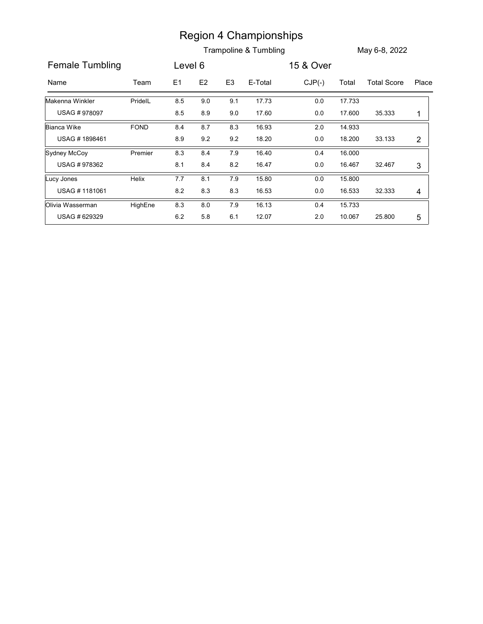|                                   |         |                |            |                | <b>Region 4 Championships</b> |                    |                  |                    |                |
|-----------------------------------|---------|----------------|------------|----------------|-------------------------------|--------------------|------------------|--------------------|----------------|
|                                   |         |                |            |                | Trampoline & Tumbling         |                    |                  | May 6-8, 2022      |                |
| <b>Female Tumbling</b>            |         | Level 6        |            |                |                               | 15 & Over          |                  |                    |                |
| Name                              | Team    | E <sub>1</sub> | E2         | E <sub>3</sub> | E-Total                       | $CJP(-)$           | Total            | <b>Total Score</b> | Place          |
| Makenna Winkler                   | PridelL | 8.5            | 9.0        | 9.1            | 17.73                         | $0.0\,$            | 17.733           |                    |                |
| USAG #978097                      |         | 8.5            | 8.9        | $9.0\,$        | 17.60                         | $0.0\,$            | 17.600           | 35.333             | $\mathbf{1}$   |
| <b>Bianca Wike</b>                | FOND    | 8.4            | $8.7\,$    | 8.3            | 16.93                         | $2.0\,$            | 14.933           |                    |                |
| USAG #1898461                     |         | 8.9            | 9.2        | 9.2            | 18.20                         | $0.0\,$            | 18.200           | 33.133             | $\overline{2}$ |
| Sydney McCoy                      | Premier | 8.3            | 8.4        | 7.9            | 16.40                         | 0.4                | 16.000           |                    |                |
| USAG #978362                      |         | 8.1            | $\bf 8.4$  | $8.2\,$        | 16.47                         | $0.0\,$            | 16.467           | 32.467             | 3              |
|                                   | Helix   | 7.7<br>8.2     | 8.1<br>8.3 | 7.9<br>8.3     | 15.80<br>16.53                | $0.0\,$<br>$0.0\,$ | 15.800<br>16.533 | 32.333             | 4              |
| Lucy Jones                        |         |                |            |                | 16.13                         | 0.4                | 15.733           |                    |                |
| USAG #1181061<br>Olivia Wasserman | HighEne | 8.3            | $8.0\,$    | 7.9            |                               |                    |                  |                    |                |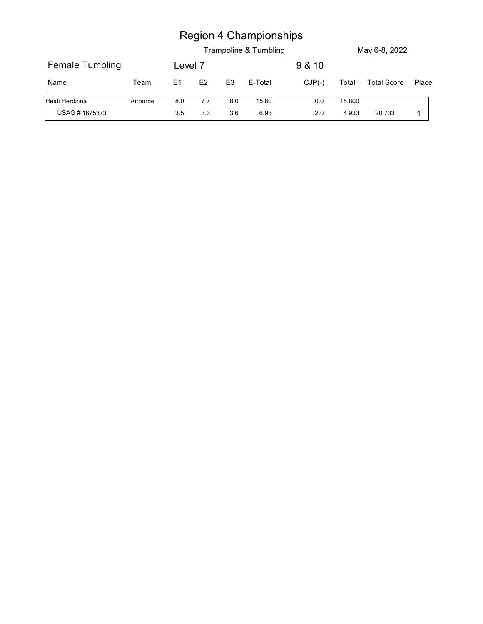|                 |          |         |               |                | <b>Region 4 Championships</b> |          |        |                    |       |
|-----------------|----------|---------|---------------|----------------|-------------------------------|----------|--------|--------------------|-------|
|                 |          |         |               |                | Trampoline & Tumbling         |          |        | May 6-8, 2022      |       |
| Female Tumbling |          | Level 7 |               |                |                               | 9 & 10   |        |                    |       |
| Name            | Team     | E1      | $\mathsf{E2}$ | E <sub>3</sub> | E-Total                       | $CJP(-)$ | Total  | <b>Total Score</b> | Place |
| Heidi Herdzina  | Airborne | 8.0     | 7.7           | 8.0            | 15.80                         | $0.0\,$  | 15.800 |                    |       |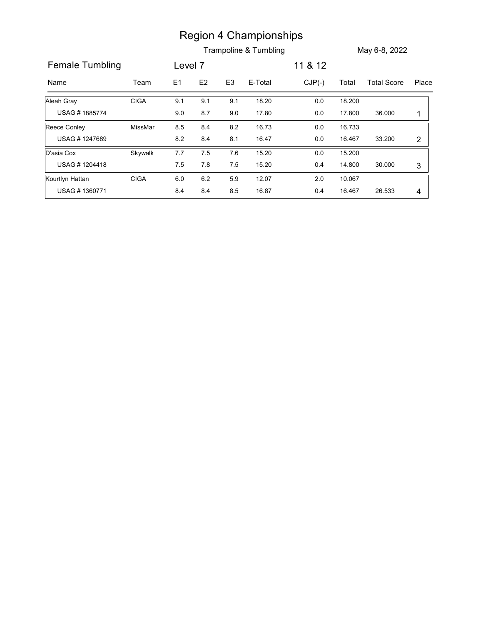|                 |             |         |               |                | <b>Region 4 Championships</b> |          |        |                    |                |
|-----------------|-------------|---------|---------------|----------------|-------------------------------|----------|--------|--------------------|----------------|
|                 |             |         |               |                | Trampoline & Tumbling         |          |        | May 6-8, 2022      |                |
| Female Tumbling |             | Level 7 |               |                |                               | 11 & 12  |        |                    |                |
| Name            | Team        | E1      | $\mathsf{E2}$ | E <sub>3</sub> | E-Total                       | $CJP(-)$ | Total  | <b>Total Score</b> | Place          |
| Aleah Gray      | <b>CIGA</b> | 9.1     | 9.1           | 9.1            | 18.20                         | $0.0\,$  | 18.200 |                    |                |
|                 |             | 9.0     | $8.7\,$       | 9.0            | 17.80                         | $0.0\,$  | 17.800 | 36.000             | $\mathbf{1}$   |
| USAG #1885774   |             |         |               |                | 16.73                         | $0.0\,$  | 16.733 |                    |                |
| Reece Conley    | MissMar     | 8.5     | 8.4           | 8.2            |                               |          |        |                    |                |
| USAG #1247689   |             | 8.2     | 8.4           | 8.1            | 16.47                         | $0.0\,$  | 16.467 | 33.200             | $\overline{2}$ |
| D'asia Cox      | Skywalk     | 7.7     | 7.5           | 7.6            | 15.20                         | $0.0\,$  | 15.200 |                    |                |
| USAG #1204418   |             | 7.5     | 7.8           | 7.5            | 15.20                         | $0.4\,$  | 14.800 | 30.000             | $\mathbf{3}$   |
| Kourtlyn Hattan | <b>CIGA</b> | $6.0\,$ | $6.2\,$       | 5.9            | 12.07                         | $2.0\,$  | 10.067 |                    |                |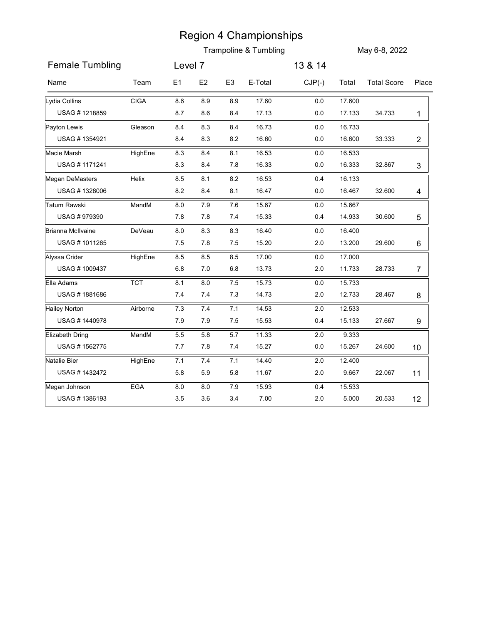|                                     |             |                  | <b>Region 4 Championships</b> | May 6-8, 2022  |                |                |                  |                       |                 |
|-------------------------------------|-------------|------------------|-------------------------------|----------------|----------------|----------------|------------------|-----------------------|-----------------|
|                                     |             |                  |                               |                |                |                |                  | Trampoline & Tumbling |                 |
| <b>Female Tumbling</b>              |             | Level 7          |                               |                |                | 13 & 14        |                  |                       |                 |
| Name                                | Team        | E1               | E <sub>2</sub>                | E <sub>3</sub> | E-Total        | $CJP(-)$       | Total            | <b>Total Score</b>    | Place           |
| Lydia Collins                       | <b>CIGA</b> | 8.6              | 8.9                           | 8.9            | 17.60          | $0.0\,$        | 17.600           |                       |                 |
| USAG #1218859                       |             | 8.7              | 8.6                           | 8.4            | 17.13          | $0.0\,$        | 17.133           | 34.733                | 1               |
| Payton Lewis                        | Gleason     | 8.4              | 8.3                           | 8.4            | 16.73          | $0.0\,$        | 16.733           |                       |                 |
| USAG #1354921                       |             | 8.4              | 8.3                           | 8.2            | 16.60          | $0.0\,$        | 16.600           | 33.333                | $\overline{c}$  |
| Macie Marsh                         | HighEne     | 8.3              | 8.4                           | 8.1            | 16.53          | $0.0\,$        | 16.533           |                       |                 |
| USAG #1171241                       |             | 8.3              | 8.4                           | 7.8            | 16.33          | $0.0\,$        | 16.333           | 32.867                | 3               |
| Megan DeMasters                     | Helix       | 8.5              | 8.1                           | 8.2            | 16.53          | 0.4            | 16.133           |                       |                 |
| USAG #1328006                       |             | 8.2              | 8.4                           | 8.1            | 16.47          | 0.0            | 16.467           | 32.600                | 4               |
| <b>Tatum Rawski</b><br>USAG #979390 | MandM       | $8.0\,$<br>7.8   | 7.9<br>$7.8\,$                | 7.6<br>7.4     | 15.67<br>15.33 | $0.0\,$<br>0.4 | 15.667<br>14.933 | 30.600                |                 |
|                                     |             |                  |                               |                |                |                |                  |                       | 5               |
| Brianna McIlvaine<br>USAG #1011265  | DeVeau      | $\bf 8.0$<br>7.5 | $8.3\,$<br>7.8                | 8.3<br>7.5     | 16.40<br>15.20 | $0.0\,$<br>2.0 | 16.400<br>13.200 | 29.600                |                 |
| Alyssa Crider                       |             |                  |                               |                |                |                |                  |                       | 6               |
| USAG #1009437                       | HighEne     | 8.5<br>6.8       | 8.5<br>7.0                    | 8.5<br>6.8     | 17.00<br>13.73 | 0.0<br>2.0     | 17.000<br>11.733 | 28.733                | 7               |
| Ella Adams                          | <b>TCT</b>  | 8.1              | $8.0\,$                       | 7.5            | 15.73          | $0.0\,$        | 15.733           |                       |                 |
| USAG #1881686                       |             | 7.4              | 7.4                           | 7.3            | 14.73          | 2.0            | 12.733           | 28.467                | 8               |
| <b>Hailey Norton</b>                | Airborne    | 7.3              | 7.4                           | 7.1            | 14.53          | 2.0            | 12.533           |                       |                 |
| USAG #1440978                       |             | 7.9              | 7.9                           | 7.5            | 15.53          | 0.4            | 15.133           | 27.667                | 9               |
| Elizabeth Dring                     | MandM       | $5.5\,$          | 5.8                           | 5.7            | 11.33          | $2.0\,$        | 9.333            |                       |                 |
| USAG #1562775                       |             | 7.7              | 7.8                           | 7.4            | 15.27          | 0.0            | 15.267           | 24.600                | 10 <sup>°</sup> |
| Natalie Bier                        | HighEne     | 7.1              | 7.4                           | 7.1            | 14.40          | 2.0            | 12.400           |                       |                 |
| USAG #1432472                       |             | 5.8              | 5.9                           | 5.8            | 11.67          | 2.0            | 9.667            | 22.067                | 11              |
| Megan Johnson                       | EGA         | $8.0\,$          | $8.0\,$                       | 7.9            | 15.93          | 0.4            | 15.533           |                       |                 |
| USAG #1386193                       |             | $3.5\,$          | 3.6                           | 3.4            | 7.00           | 2.0            | 5.000            | 20.533                | 12              |